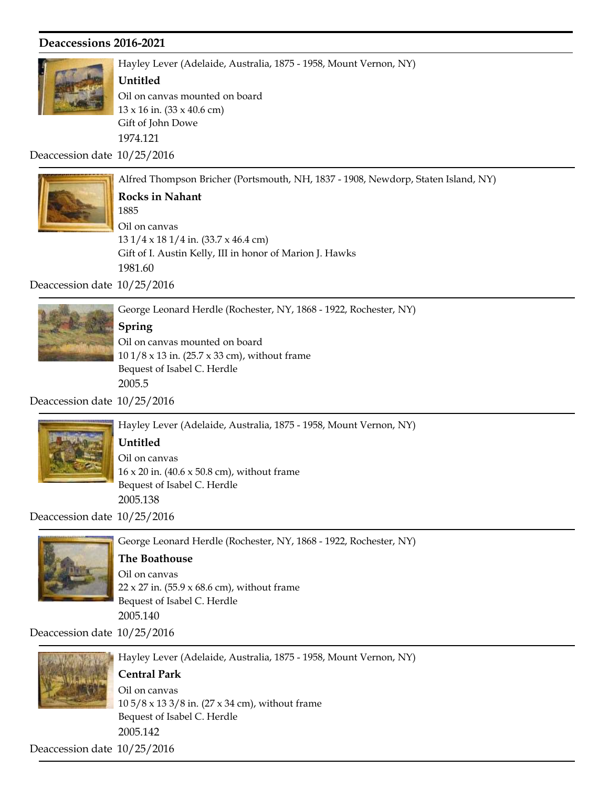

Hayley Lever (Adelaide, Australia, 1875 - 1958, Mount Vernon, NY)

#### Untitled

Gift of John Dowe 1974.121 13 x 16 in. (33 x 40.6 cm) Oil on canvas mounted on board

Deaccession date 10/25/2016



Alfred Thompson Bricher (Portsmouth, NH, 1837 - 1908, Newdorp, Staten Island, NY) Gift of I. Austin Kelly, III in honor of Marion J. Hawks 1981.60 1885 Rocks in Nahant 13 1/4 x 18 1/4 in. (33.7 x 46.4 cm) Oil on canvas

Deaccession date 10/25/2016



Spring

Bequest of Isabel C. Herdle 2005.5 10 1/8 x 13 in. (25.7 x 33 cm), without frame Oil on canvas mounted on board

Deaccession date 10/25/2016



Hayley Lever (Adelaide, Australia, 1875 - 1958, Mount Vernon, NY)

#### Untitled

Bequest of Isabel C. Herdle 2005.138 16 x 20 in. (40.6 x 50.8 cm), without frame Oil on canvas

Deaccession date 10/25/2016



George Leonard Herdle (Rochester, NY, 1868 - 1922, Rochester, NY)

#### The Boathouse

Bequest of Isabel C. Herdle 2005.140  $22 \times 27$  in. (55.9  $\times$  68.6 cm), without frame Oil on canvas

Deaccession date 10/25/2016



Hayley Lever (Adelaide, Australia, 1875 - 1958, Mount Vernon, NY)

# Central Park

Bequest of Isabel C. Herdle 2005.142 10 5/8 x 13 3/8 in. (27 x 34 cm), without frame Oil on canvas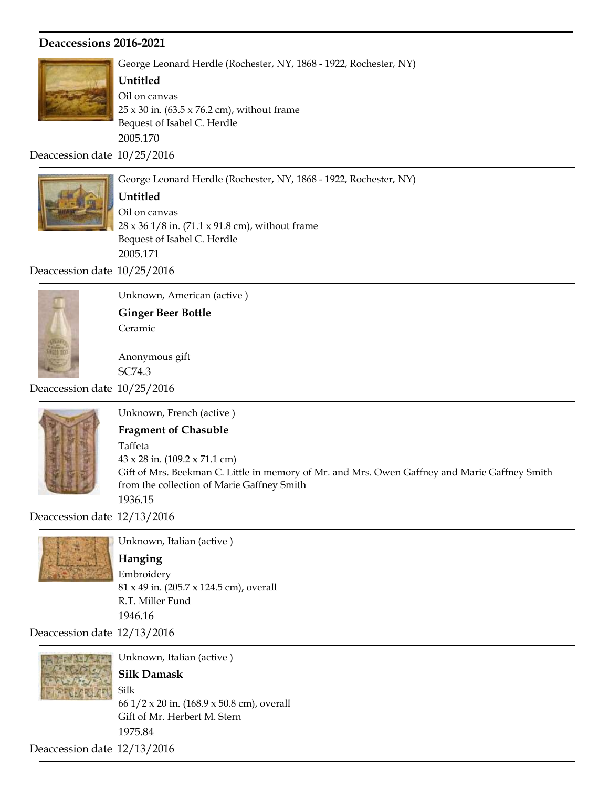

George Leonard Herdle (Rochester, NY, 1868 - 1922, Rochester, NY)

George Leonard Herdle (Rochester, NY, 1868 - 1922, Rochester, NY)

#### Untitled

Bequest of Isabel C. Herdle 2005.170  $25 \times 30$  in. (63.5  $\times$  76.2 cm), without frame Oil on canvas

Deaccession date 10/25/2016



Untitled

Bequest of Isabel C. Herdle 2005.171 28 x 36 1/8 in. (71.1 x 91.8 cm), without frame Oil on canvas

Deaccession date 10/25/2016



Unknown, American (active )

Ginger Beer Bottle Ceramic

Anonymous gift SC74.3

Deaccession date 10/25/2016



Unknown, French (active ) Gift of Mrs. Beekman C. Little in memory of Mr. and Mrs. Owen Gaffney and Marie Gaffney Smith from the collection of Marie Gaffney Smith 1936.15 Fragment of Chasuble 43 x 28 in. (109.2 x 71.1 cm) Taffeta

Deaccession date 12/13/2016



Unknown, Italian (active ) R.T. Miller Fund 1946.16 Hanging 81 x 49 in. (205.7 x 124.5 cm), overall Embroidery

Deaccession date 12/13/2016



Unknown, Italian (active )

## Silk Damask

Gift of Mr. Herbert M. Stern 1975.84 66 1/2 x 20 in. (168.9 x 50.8 cm), overall Silk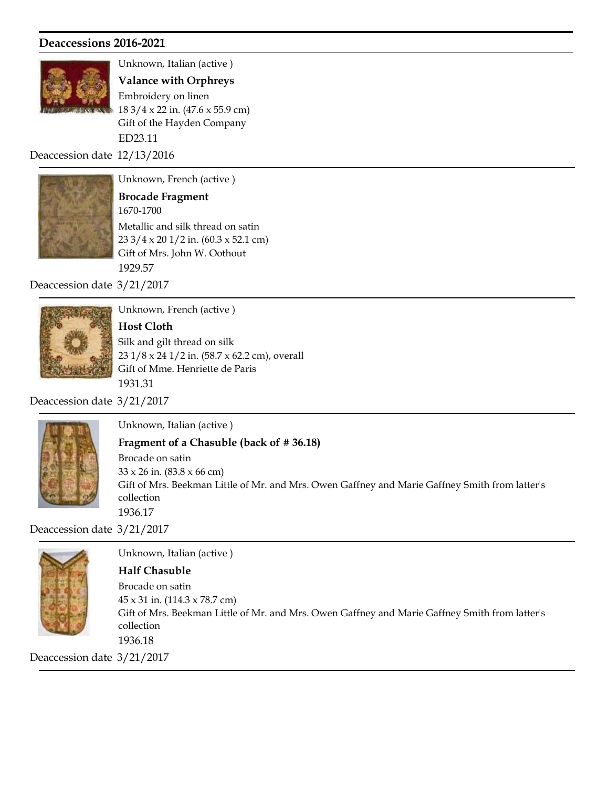

Unknown, Italian (active )

Gift of the Hayden Company ED23.11 Valance with Orphreys 18 3/4 x 22 in. (47.6 x 55.9 cm) Embroidery on linen

Deaccession date 12/13/2016



Unknown, French (active )

Gift of Mrs. John W. Oothout 1929.57 1670-1700 Brocade Fragment 23 3/4 x 20 1/2 in. (60.3 x 52.1 cm) Metallic and silk thread on satin

Deaccession date 3/21/2017



Unknown, French (active )

Gift of Mme. Henriette de Paris 1931.31 Host Cloth 23 1/8 x 24 1/2 in. (58.7 x 62.2 cm), overall Silk and gilt thread on silk

Deaccession date 3/21/2017



Unknown, Italian (active )

Fragment of a Chasuble (back of # 36.18)

Gift of Mrs. Beekman Little of Mr. and Mrs. Owen Gaffney and Marie Gaffney Smith from latter's collection 1936.17 33 x 26 in. (83.8 x 66 cm) Brocade on satin

Deaccession date 3/21/2017



Unknown, Italian (active ) Gift of Mrs. Beekman Little of Mr. and Mrs. Owen Gaffney and Marie Gaffney Smith from latter's collection 1936.18 Half Chasuble 45 x 31 in. (114.3 x 78.7 cm) Brocade on satin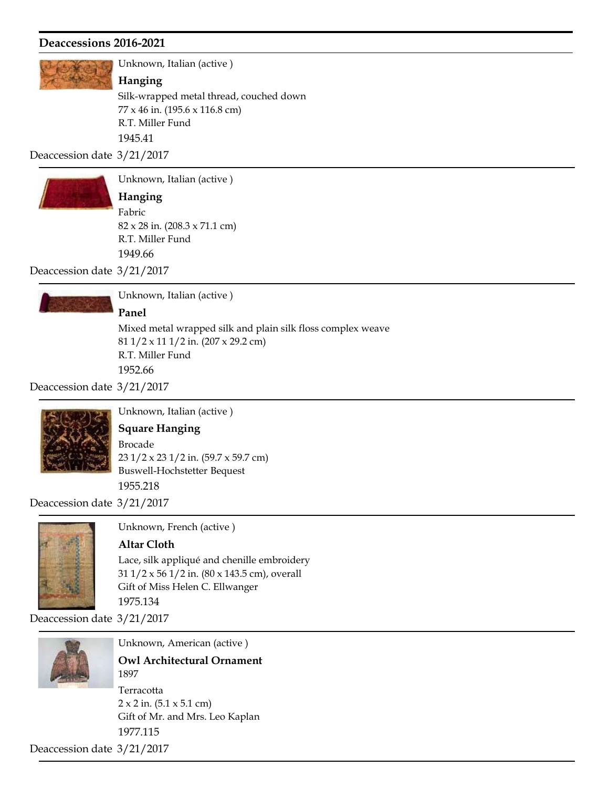

Unknown, Italian (active )

#### Hanging

R.T. Miller Fund 1945.41 77 x 46 in. (195.6 x 116.8 cm) Silk-wrapped metal thread, couched down

Deaccession date 3/21/2017



Unknown, Italian (active )

R.T. Miller Fund 1949.66 Hanging 82 x 28 in. (208.3 x 71.1 cm) Fabric

Deaccession date 3/21/2017



Unknown, Italian (active )

#### Panel

R.T. Miller Fund 1952.66 81 1/2 x 11 1/2 in. (207 x 29.2 cm) Mixed metal wrapped silk and plain silk floss complex weave

Deaccession date 3/21/2017



Unknown, Italian (active )

## Square Hanging

Buswell-Hochstetter Bequest 1955.218 23 1/2 x 23 1/2 in. (59.7 x 59.7 cm) Brocade

Deaccession date 3/21/2017



Unknown, French (active )

#### Altar Cloth

Gift of Miss Helen C. Ellwanger 1975.134 31 1/2 x 56 1/2 in. (80 x 143.5 cm), overall Lace, silk appliqué and chenille embroidery

Deaccession date 3/21/2017



Unknown, American (active )

Gift of Mr. and Mrs. Leo Kaplan 1977.115 1897 Owl Architectural Ornament  $2 \times 2$  in. (5.1  $\times$  5.1 cm) Terracotta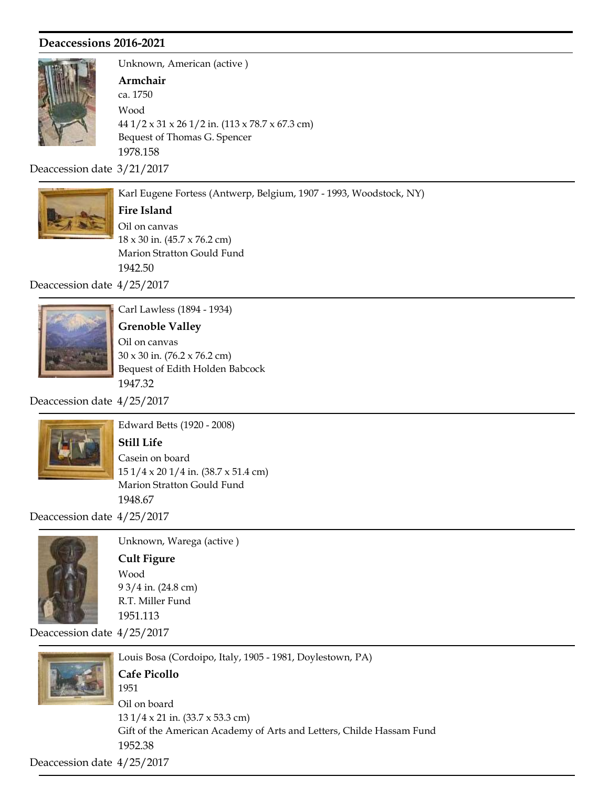

Unknown, American (active ) Bequest of Thomas G. Spencer 1978.158 ca. 1750 Armchair 44 1/2 x 31 x 26 1/2 in. (113 x 78.7 x 67.3 cm) Wood

Deaccession date 3/21/2017



Karl Eugene Fortess (Antwerp, Belgium, 1907 - 1993, Woodstock, NY)

Marion Stratton Gould Fund 1942.50 Fire Island 18 x 30 in. (45.7 x 76.2 cm) Oil on canvas

Deaccession date 4/25/2017



Carl Lawless (1894 - 1934)

Bequest of Edith Holden Babcock 1947.32 Grenoble Valley 30 x 30 in. (76.2 x 76.2 cm) Oil on canvas

Deaccession date 4/25/2017



Edward Betts (1920 - 2008)

## Still Life

Marion Stratton Gould Fund 1948.67 15 1/4 x 20 1/4 in. (38.7 x 51.4 cm) Casein on board

Deaccession date 4/25/2017



Unknown, Warega (active ) R.T. Miller Fund 1951.113 Cult Figure 9 3/4 in. (24.8 cm) Wood

Deaccession date 4/25/2017



Louis Bosa (Cordoipo, Italy, 1905 - 1981, Doylestown, PA) Gift of the American Academy of Arts and Letters, Childe Hassam Fund 1952.38 1951 Cafe Picollo 13 1/4 x 21 in. (33.7 x 53.3 cm) Oil on board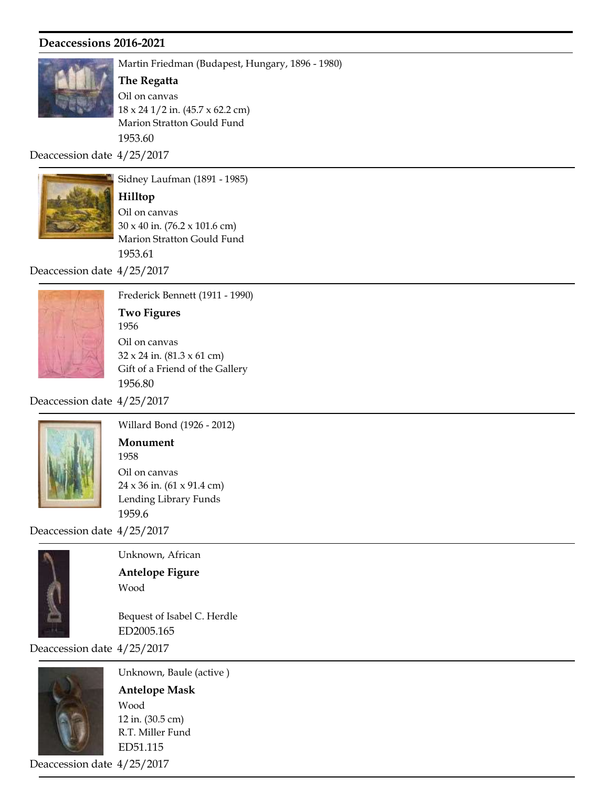

Martin Friedman (Budapest, Hungary, 1896 - 1980)

Marion Stratton Gould Fund 1953.60 The Regatta 18 x 24 1/2 in. (45.7 x 62.2 cm) Oil on canvas

Deaccession date 4/25/2017



Sidney Laufman (1891 - 1985)

Marion Stratton Gould Fund 1953.61 Hilltop 30 x 40 in. (76.2 x 101.6 cm) Oil on canvas

Deaccession date 4/25/2017



Frederick Bennett (1911 - 1990) Gift of a Friend of the Gallery 1956.80 1956 Two Figures 32 x 24 in. (81.3 x 61 cm) Oil on canvas

Deaccession date 4/25/2017



Willard Bond (1926 - 2012) Lending Library Funds 1959.6 1958 Monument 24 x 36 in. (61 x 91.4 cm) Oil on canvas

Deaccession date 4/25/2017



Unknown, African Antelope Figure Wood

Bequest of Isabel C. Herdle ED2005.165

Deaccession date 4/25/2017



Unknown, Baule (active ) R.T. Miller Fund ED51.115 Antelope Mask 12 in. (30.5 cm) Wood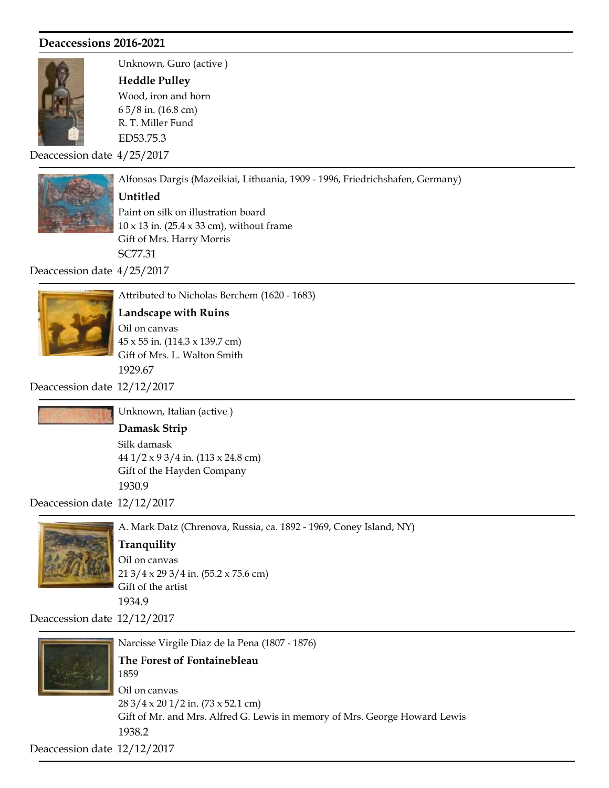

Unknown, Guro (active ) R. T. Miller Fund ED53.75.3 Heddle Pulley 6 5/8 in. (16.8 cm) Wood, iron and horn

Deaccession date 4/25/2017



#### Untitled

Gift of Mrs. Harry Morris SC77.31 10 x 13 in. (25.4 x 33 cm), without frame Paint on silk on illustration board

Alfonsas Dargis (Mazeikiai, Lithuania, 1909 - 1996, Friedrichshafen, Germany)

Deaccession date 4/25/2017



Attributed to Nicholas Berchem (1620 - 1683) Gift of Mrs. L. Walton Smith Landscape with Ruins 45 x 55 in. (114.3 x 139.7 cm) Oil on canvas

1929.67

Deaccession date 12/12/2017



Unknown, Italian (active )

Gift of the Hayden Company

Damask Strip 44 1/2 x 9 3/4 in. (113 x 24.8 cm) Silk damask

Deaccession date 12/12/2017



A. Mark Datz (Chrenova, Russia, ca. 1892 - 1969, Coney Island, NY)

# **Tranquility**

1930.9

Gift of the artist 1934.9 21 3/4 x 29 3/4 in. (55.2 x 75.6 cm) Oil on canvas

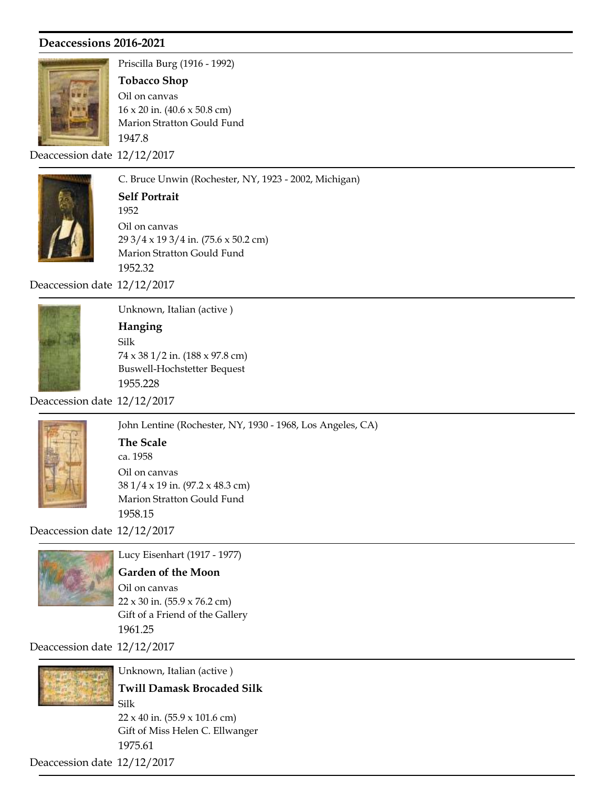

Priscilla Burg (1916 - 1992)

Marion Stratton Gould Fund Tobacco Shop 16 x 20 in. (40.6 x 50.8 cm) Oil on canvas

Deaccession date 12/12/2017

1947.8



C. Bruce Unwin (Rochester, NY, 1923 - 2002, Michigan) Marion Stratton Gould Fund 1952.32 1952 Self Portrait 29 3/4 x 19 3/4 in. (75.6 x 50.2 cm) Oil on canvas

Deaccession date 12/12/2017



Unknown, Italian (active ) Buswell-Hochstetter Bequest 1955.228 Hanging 74 x 38 1/2 in. (188 x 97.8 cm) Silk

Deaccession date 12/12/2017



John Lentine (Rochester, NY, 1930 - 1968, Los Angeles, CA) Marion Stratton Gould Fund 1958.15 ca. 1958 The Scale 38 1/4 x 19 in. (97.2 x 48.3 cm) Oil on canvas

Deaccession date 12/12/2017



Lucy Eisenhart (1917 - 1977)

## Garden of the Moon

Gift of a Friend of the Gallery 1961.25 22 x 30 in. (55.9 x 76.2 cm) Oil on canvas

Deaccession date 12/12/2017



Unknown, Italian (active ) Gift of Miss Helen C. Ellwanger 1975.61 Twill Damask Brocaded Silk 22 x 40 in. (55.9 x 101.6 cm) Silk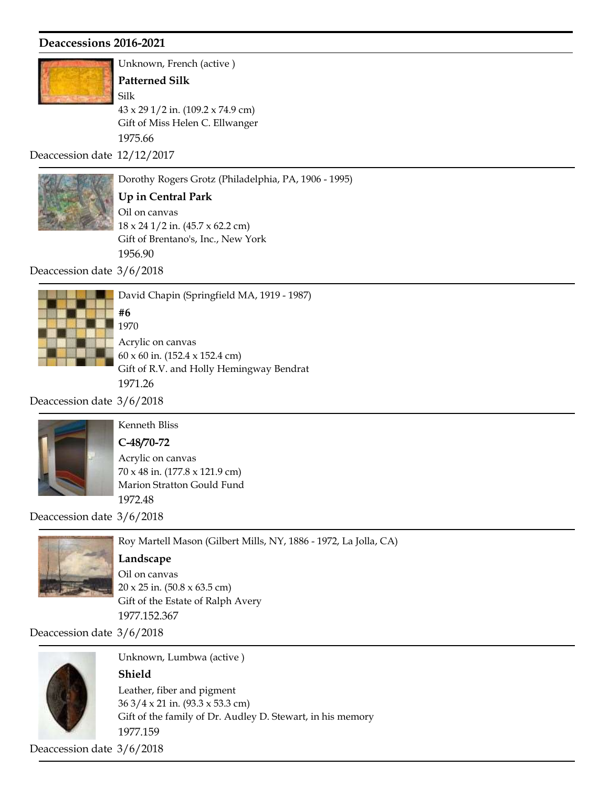

Unknown, French (active ) Gift of Miss Helen C. Ellwanger 1975.66 Patterned Silk 43 x 29 1/2 in. (109.2 x 74.9 cm) Silk

Deaccession date 12/12/2017



Dorothy Rogers Grotz (Philadelphia, PA, 1906 - 1995)

Gift of Brentano's, Inc., New York 1956.90 Up in Central Park 18 x 24 1/2 in. (45.7 x 62.2 cm) Oil on canvas

Deaccession date 3/6/2018



David Chapin (Springfield MA, 1919 - 1987) Gift of R.V. and Holly Hemingway Bendrat 1971.26 1970 #6 60 x 60 in. (152.4 x 152.4 cm) Acrylic on canvas

Deaccession date 3/6/2018



# Kenneth Bliss C-48/70-72

Marion Stratton Gould Fund 1972.48 70 x 48 in. (177.8 x 121.9 cm) Acrylic on canvas

Deaccession date 3/6/2018



Roy Martell Mason (Gilbert Mills, NY, 1886 - 1972, La Jolla, CA) Gift of the Estate of Ralph Avery 1977.152.367 Landscape 20 x 25 in. (50.8 x 63.5 cm) Oil on canvas

Deaccession date 3/6/2018



Unknown, Lumbwa (active )

#### Shield

Gift of the family of Dr. Audley D. Stewart, in his memory 1977.159 36 3/4 x 21 in. (93.3 x 53.3 cm) Leather, fiber and pigment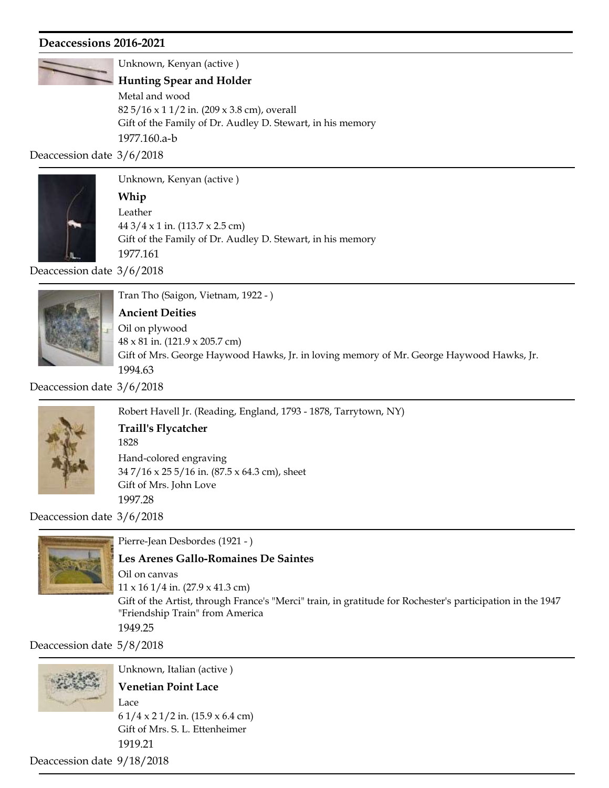

Unknown, Kenyan (active )

#### Hunting Spear and Holder

Gift of the Family of Dr. Audley D. Stewart, in his memory 1977.160.a-b 82 5/16 x 1 1/2 in. (209 x 3.8 cm), overall Metal and wood

Deaccession date 3/6/2018



Unknown, Kenyan (active )

Gift of the Family of Dr. Audley D. Stewart, in his memory 1977.161 Whip 44 3/4 x 1 in. (113.7 x 2.5 cm) Leather

Deaccession date 3/6/2018



Tran Tho (Saigon, Vietnam, 1922 - )

#### Ancient Deities

Gift of Mrs. George Haywood Hawks, Jr. in loving memory of Mr. George Haywood Hawks, Jr. 1994.63 48 x 81 in. (121.9 x 205.7 cm) Oil on plywood

Deaccession date 3/6/2018



Robert Havell Jr. (Reading, England, 1793 - 1878, Tarrytown, NY)

## Traill's Flycatcher

Gift of Mrs. John Love 1997.28 1828 34 7/16 x 25 5/16 in. (87.5 x 64.3 cm), sheet Hand-colored engraving

Deaccession date 3/6/2018



Pierre-Jean Desbordes (1921 - ) Les Arenes Gallo-Romaines De Saintes

Gift of the Artist, through France's "Merci" train, in gratitude for Rochester's participation in the 1947 "Friendship Train" from America 1949.25 11 x 16 1/4 in. (27.9 x 41.3 cm) Oil on canvas

Deaccession date 5/8/2018



Unknown, Italian (active ) Gift of Mrs. S. L. Ettenheimer 1919.21 Venetian Point Lace 6 1/4 x 2 1/2 in. (15.9 x 6.4 cm) Lace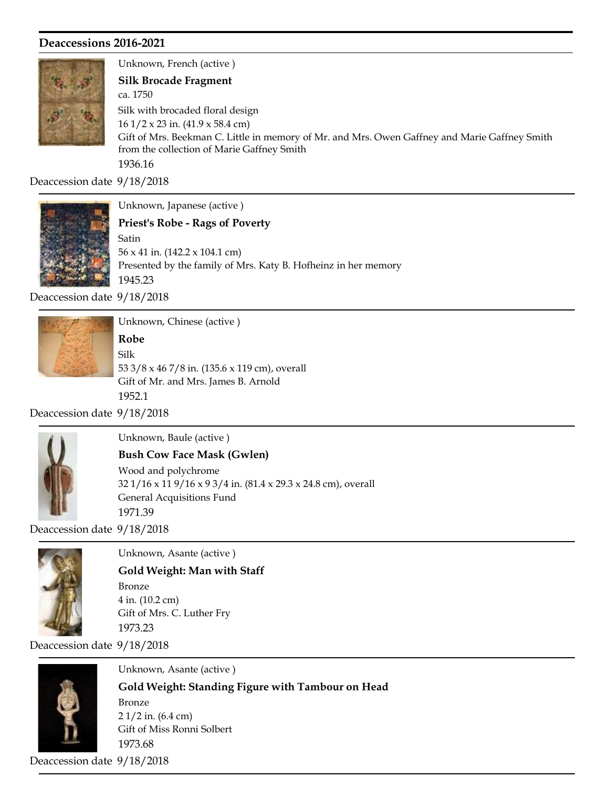

Unknown, French (active ) Gift of Mrs. Beekman C. Little in memory of Mr. and Mrs. Owen Gaffney and Marie Gaffney Smith from the collection of Marie Gaffney Smith 1936.16 ca. 1750 Silk Brocade Fragment 16 1/2 x 23 in. (41.9 x 58.4 cm) Silk with brocaded floral design

Deaccession date 9/18/2018



Unknown, Japanese (active )

Presented by the family of Mrs. Katy B. Hofheinz in her memory 1945.23 Priest's Robe - Rags of Poverty 56 x 41 in. (142.2 x 104.1 cm) Satin

Deaccession date 9/18/2018



Unknown, Chinese (active )

Gift of Mr. and Mrs. James B. Arnold 1952.1 Robe 53 3/8 x 46 7/8 in. (135.6 x 119 cm), overall Silk

Deaccession date 9/18/2018



Unknown, Baule (active )

## Bush Cow Face Mask (Gwlen)

General Acquisitions Fund 1971.39 32 1/16 x 11 9/16 x 9 3/4 in. (81.4 x 29.3 x 24.8 cm), overall Wood and polychrome

Deaccession date 9/18/2018



Gift of Mrs. C. Luther Fry Gold Weight: Man with Staff 4 in. (10.2 cm) Bronze

Unknown, Asante (active )

Deaccession date 9/18/2018

1973.23



Unknown, Asante (active ) Gift of Miss Ronni Solbert 1973.68 Gold Weight: Standing Figure with Tambour on Head 2 1/2 in. (6.4 cm) Bronze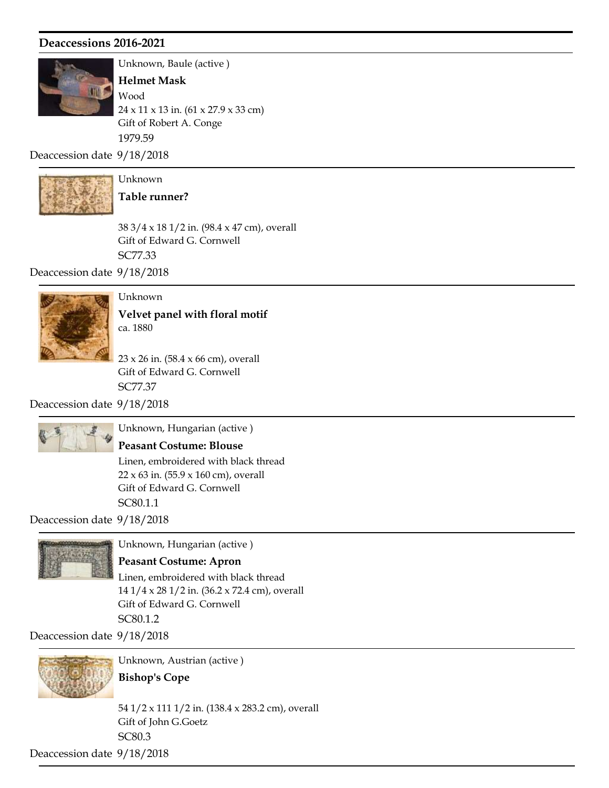

Unknown, Baule (active )

Gift of Robert A. Conge 1979.59 Helmet Mask 24 x 11 x 13 in. (61 x 27.9 x 33 cm) Wood

Deaccession date 9/18/2018



Unknown Table runner?

Gift of Edward G. Cornwell SC77.33 38 3/4 x 18 1/2 in. (98.4 x 47 cm), overall

Deaccession date 9/18/2018



Unknown

ca. 1880 Velvet panel with floral motif

Gift of Edward G. Cornwell SC77.37 23 x 26 in. (58.4 x 66 cm), overall

Deaccession date 9/18/2018



Unknown, Hungarian (active )

#### Peasant Costume: Blouse

Gift of Edward G. Cornwell SC80.1.1 22 x 63 in. (55.9 x 160 cm), overall Linen, embroidered with black thread

Deaccession date 9/18/2018



Unknown, Hungarian (active )

#### Peasant Costume: Apron

Gift of Edward G. Cornwell SC80.1.2 14 1/4 x 28 1/2 in. (36.2 x 72.4 cm), overall Linen, embroidered with black thread

Deaccession date 9/18/2018



Unknown, Austrian (active )

Bishop's Cope

Gift of John G.Goetz SC80.3 54 1/2 x 111 1/2 in. (138.4 x 283.2 cm), overall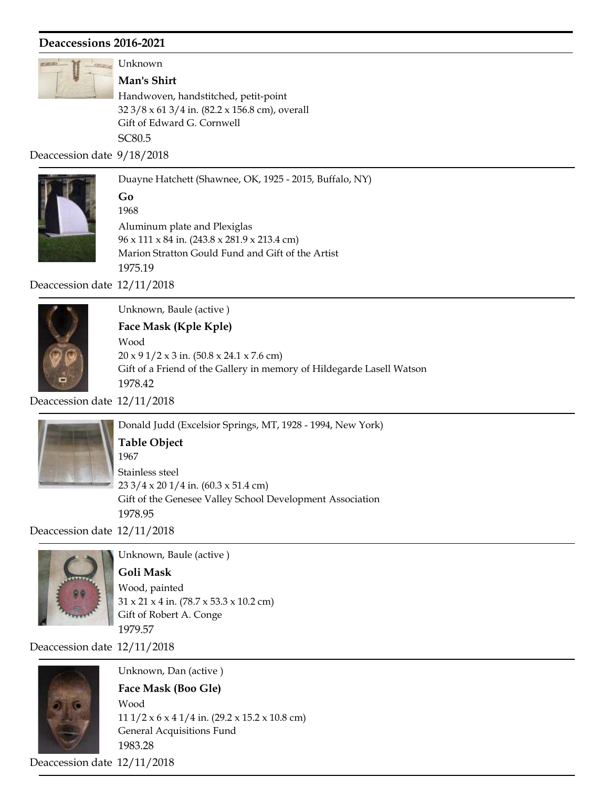

Unknown

Gift of Edward G. Cornwell SC80.5 Man's Shirt 32 3/8 x 61 3/4 in. (82.2 x 156.8 cm), overall Handwoven, handstitched, petit-point

Deaccession date 9/18/2018



Duayne Hatchett (Shawnee, OK, 1925 - 2015, Buffalo, NY) Marion Stratton Gould Fund and Gift of the Artist 1975.19 1968 Go 96 x 111 x 84 in. (243.8 x 281.9 x 213.4 cm) Aluminum plate and Plexiglas

Deaccession date 12/11/2018



Unknown, Baule (active )

# Face Mask (Kple Kple)

Gift of a Friend of the Gallery in memory of Hildegarde Lasell Watson 1978.42 20 x 9 1/2 x 3 in. (50.8 x 24.1 x 7.6 cm) Wood

Deaccession date 12/11/2018



Donald Judd (Excelsior Springs, MT, 1928 - 1994, New York) Gift of the Genesee Valley School Development Association 1978.95 1967 Table Object 23 3/4 x 20 1/4 in. (60.3 x 51.4 cm) Stainless steel

Deaccession date 12/11/2018



Unknown, Baule (active )

Gift of Robert A. Conge 1979.57 Goli Mask 31 x 21 x 4 in. (78.7 x 53.3 x 10.2 cm) Wood, painted

Deaccession date 12/11/2018



Unknown, Dan (active )

## Face Mask (Boo Gle)

General Acquisitions Fund 1983.28 11 1/2 x 6 x 4 1/4 in. (29.2 x 15.2 x 10.8 cm) Wood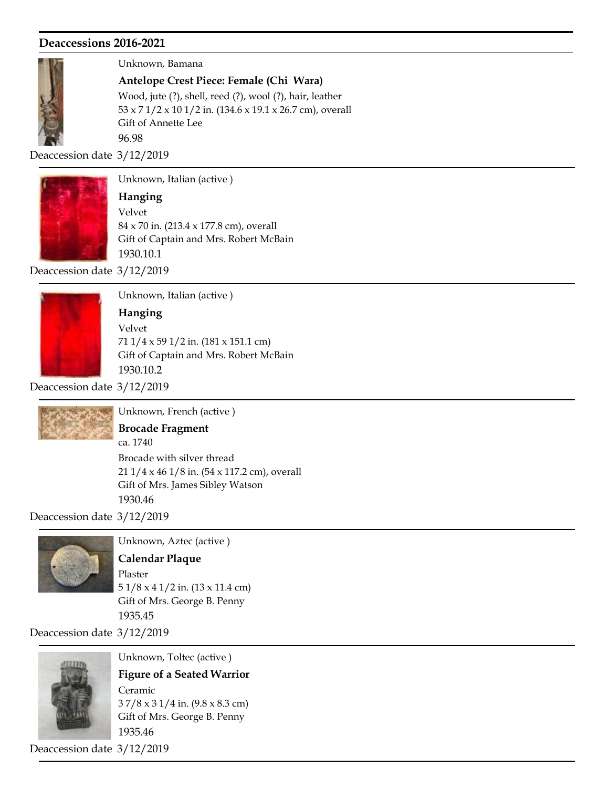

Unknown, Bamana

Antelope Crest Piece: Female (Chi Wara)

Gift of Annette Lee 96.98 53 x 7 1/2 x 10 1/2 in. (134.6 x 19.1 x 26.7 cm), overall Wood, jute (?), shell, reed (?), wool (?), hair, leather

Deaccession date 3/12/2019



Unknown, Italian (active )

Gift of Captain and Mrs. Robert McBain 1930.10.1 Hanging 84 x 70 in. (213.4 x 177.8 cm), overall Velvet

Deaccession date 3/12/2019



Unknown, Italian (active )

#### Hanging

Gift of Captain and Mrs. Robert McBain 1930.10.2 71 1/4 x 59 1/2 in. (181 x 151.1 cm) Velvet

Deaccession date 3/12/2019



Unknown, French (active )

#### Brocade Fragment

ca. 1740

Gift of Mrs. James Sibley Watson 1930.46 21 1/4 x 46 1/8 in. (54 x 117.2 cm), overall Brocade with silver thread

Deaccession date 3/12/2019



Unknown, Aztec (active )

#### Calendar Plaque

Gift of Mrs. George B. Penny 1935.45 5 1/8 x 4 1/2 in. (13 x 11.4 cm) Plaster

Deaccession date 3/12/2019



Unknown, Toltec (active )

Gift of Mrs. George B. Penny 1935.46 Figure of a Seated Warrior 3 7/8 x 3 1/4 in. (9.8 x 8.3 cm) Ceramic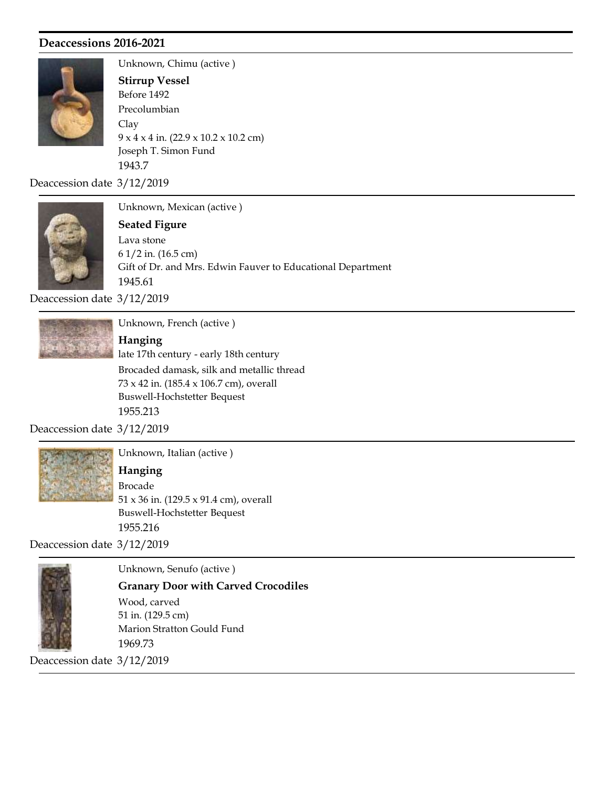

Unknown, Chimu (active ) Joseph T. Simon Fund 1943.7 Before 1492 Stirrup Vessel 9 x 4 x 4 in. (22.9 x 10.2 x 10.2 cm) Clay Precolumbian

Deaccession date 3/12/2019



Unknown, Mexican (active )

Gift of Dr. and Mrs. Edwin Fauver to Educational Department 1945.61 Seated Figure 6 1/2 in. (16.5 cm) Lava stone

Deaccession date 3/12/2019



Unknown, French (active )

Buswell-Hochstetter Bequest 1955.213 late 17th century - early 18th century Hanging 73 x 42 in. (185.4 x 106.7 cm), overall Brocaded damask, silk and metallic thread

Deaccession date 3/12/2019



Unknown, Italian (active )

Buswell-Hochstetter Bequest 1955.216 Hanging 51 x 36 in. (129.5 x 91.4 cm), overall Brocade

Deaccession date 3/12/2019



Unknown, Senufo (active )

Marion Stratton Gould Fund 1969.73 Granary Door with Carved Crocodiles 51 in. (129.5 cm) Wood, carved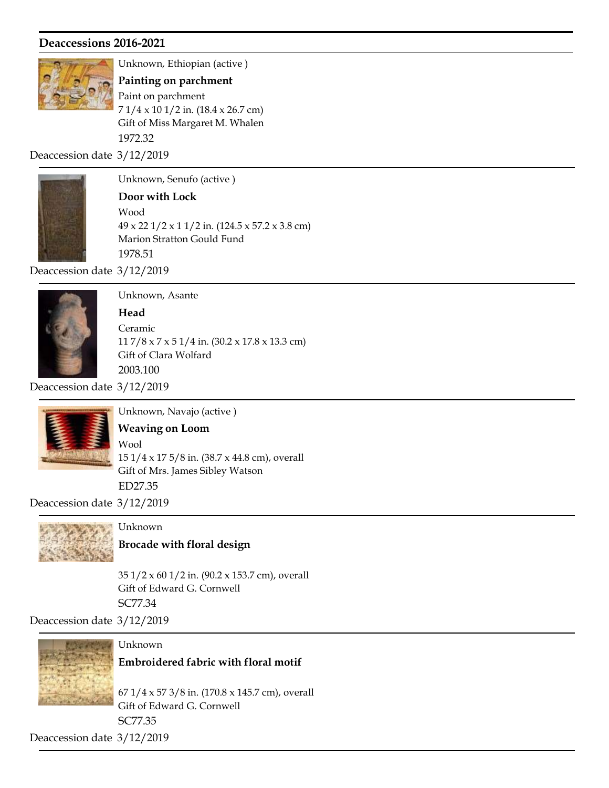

Unknown, Ethiopian (active )

Gift of Miss Margaret M. Whalen 1972.32 Painting on parchment 7 1/4 x 10 1/2 in. (18.4 x 26.7 cm) Paint on parchment

Deaccession date 3/12/2019



Unknown, Senufo (active )

## Door with Lock

Marion Stratton Gould Fund 1978.51 49 x 22 1/2 x 1 1/2 in. (124.5 x 57.2 x 3.8 cm) Wood

Deaccession date 3/12/2019



# Unknown, Asante

Gift of Clara Wolfard 2003.100 **Head** 11 7/8 x 7 x 5 1/4 in. (30.2 x 17.8 x 13.3 cm) Ceramic

Deaccession date 3/12/2019



Unknown, Navajo (active )

# Weaving on Loom

Gift of Mrs. James Sibley Watson ED27.35 15 1/4 x 17 5/8 in. (38.7 x 44.8 cm), overall Wool

Deaccession date 3/12/2019



# Unknown

Brocade with floral design

Gift of Edward G. Cornwell SC77.34 35 1/2 x 60 1/2 in. (90.2 x 153.7 cm), overall

Deaccession date 3/12/2019



Unknown

Embroidered fabric with floral motif

Gift of Edward G. Cornwell SC77.35 67 1/4 x 57 3/8 in. (170.8 x 145.7 cm), overall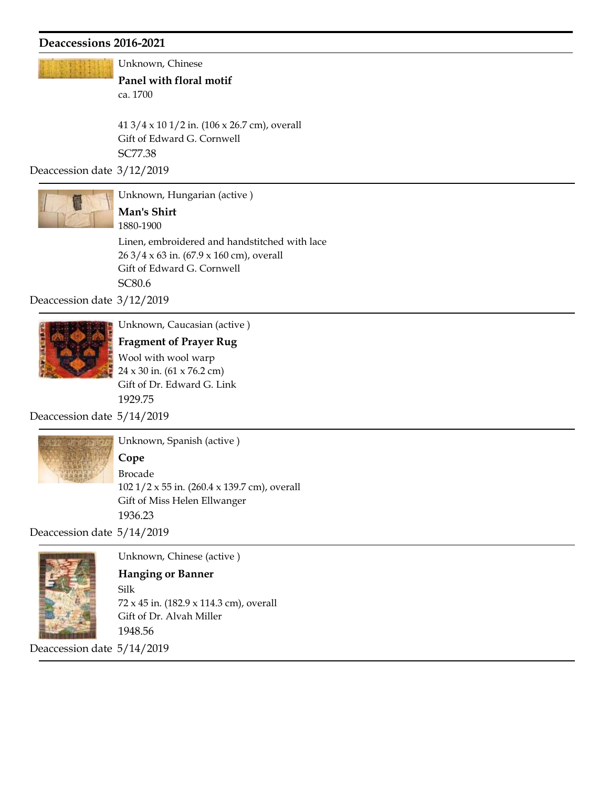Unknown, Chinese

ca. 1700 Panel with floral motif

Gift of Edward G. Cornwell SC77.38 41 3/4 x 10 1/2 in. (106 x 26.7 cm), overall

Deaccession date 3/12/2019



Unknown, Hungarian (active ) 1880-1900 Man's Shirt

Gift of Edward G. Cornwell SC80.6 26 3/4 x 63 in. (67.9 x 160 cm), overall Linen, embroidered and handstitched with lace

Deaccession date 3/12/2019



Unknown, Caucasian (active )

Gift of Dr. Edward G. Link 1929.75 Fragment of Prayer Rug 24 x 30 in. (61 x 76.2 cm) Wool with wool warp

Deaccession date 5/14/2019



Unknown, Spanish (active ) Cope Brocade

Gift of Miss Helen Ellwanger 1936.23 102 1/2 x 55 in. (260.4 x 139.7 cm), overall

Deaccession date 5/14/2019



Unknown, Chinese (active )

#### Hanging or Banner

Gift of Dr. Alvah Miller 1948.56 72 x 45 in. (182.9 x 114.3 cm), overall Silk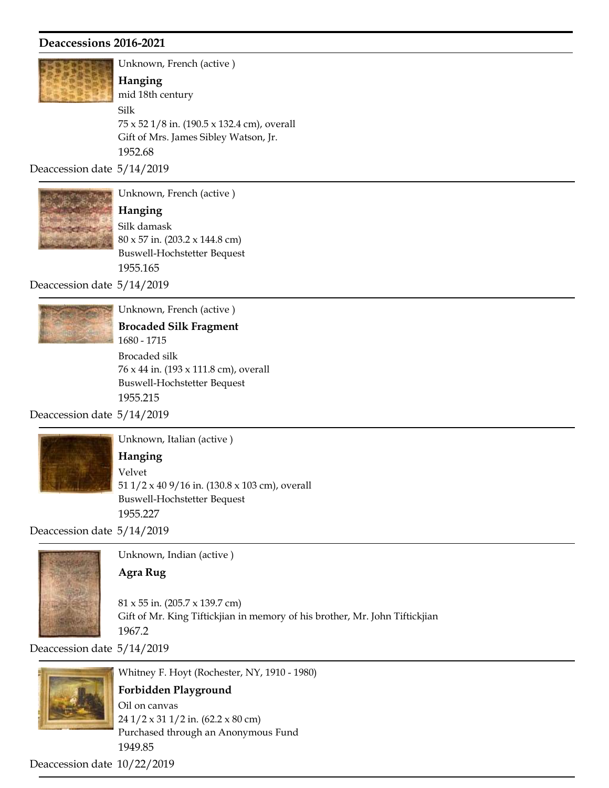

Unknown, French (active ) Gift of Mrs. James Sibley Watson, Jr. 1952.68 mid 18th century Hanging 75 x 52 1/8 in. (190.5 x 132.4 cm), overall Silk

Deaccession date 5/14/2019



Unknown, French (active )

Buswell-Hochstetter Bequest 1955.165 Hanging 80 x 57 in. (203.2 x 144.8 cm) Silk damask

Deaccession date 5/14/2019



Unknown, French (active )

Buswell-Hochstetter Bequest 1955.215 1680 - 1715 Brocaded Silk Fragment 76 x 44 in. (193 x 111.8 cm), overall Brocaded silk

Deaccession date 5/14/2019



Unknown, Italian (active )

Buswell-Hochstetter Bequest 1955.227 Hanging 51 1/2 x 40 9/16 in. (130.8 x 103 cm), overall Velvet

Deaccession date 5/14/2019



Unknown, Indian (active )

#### Agra Rug

Gift of Mr. King Tiftickjian in memory of his brother, Mr. John Tiftickjian 1967.2 81 x 55 in. (205.7 x 139.7 cm)

Deaccession date 5/14/2019



Whitney F. Hoyt (Rochester, NY, 1910 - 1980) Purchased through an Anonymous Fund 1949.85 Forbidden Playground 24 1/2 x 31 1/2 in. (62.2 x 80 cm) Oil on canvas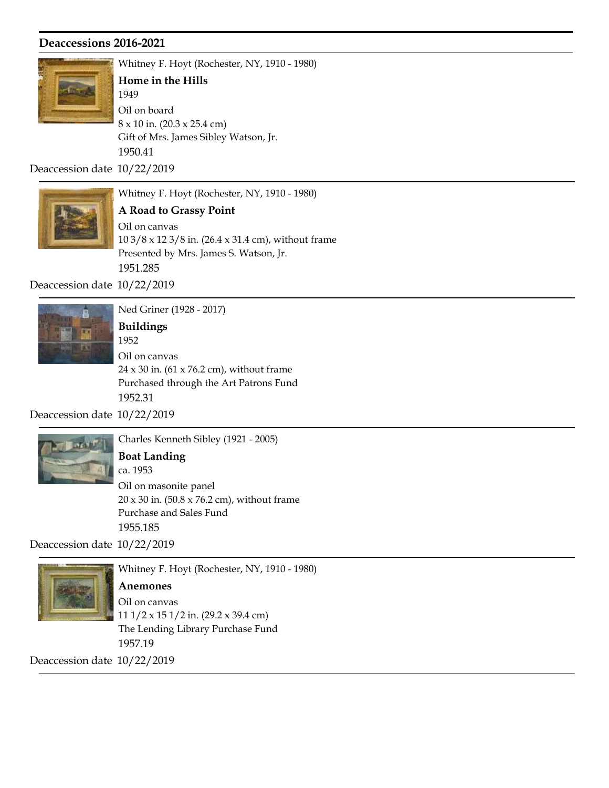

Whitney F. Hoyt (Rochester, NY, 1910 - 1980) Gift of Mrs. James Sibley Watson, Jr. 1950.41 1949 Home in the Hills 8 x 10 in. (20.3 x 25.4 cm) Oil on board

Deaccession date 10/22/2019



Whitney F. Hoyt (Rochester, NY, 1910 - 1980)

Presented by Mrs. James S. Watson, Jr. 1951.285 A Road to Grassy Point 10 3/8 x 12 3/8 in. (26.4 x 31.4 cm), without frame Oil on canvas

Deaccession date 10/22/2019



Ned Griner (1928 - 2017)

Purchased through the Art Patrons Fund 1952.31 1952 Buildings  $24 \times 30$  in. (61 x 76.2 cm), without frame Oil on canvas

Deaccession date 10/22/2019



Charles Kenneth Sibley (1921 - 2005)

# Boat Landing

Purchase and Sales Fund 1955.185 ca. 1953 20 x 30 in. (50.8 x 76.2 cm), without frame Oil on masonite panel

Deaccession date 10/22/2019



Whitney F. Hoyt (Rochester, NY, 1910 - 1980)

Anemones

The Lending Library Purchase Fund 1957.19 11 1/2 x 15 1/2 in. (29.2 x 39.4 cm) Oil on canvas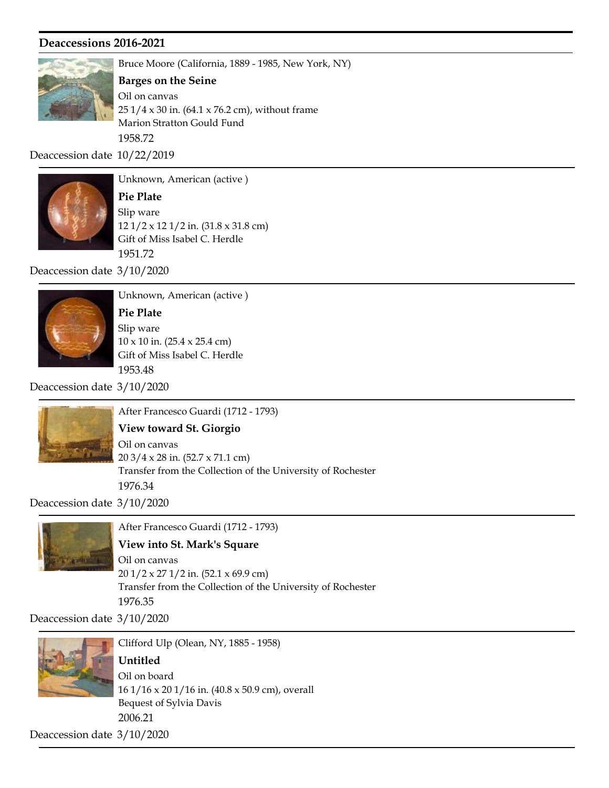

Bruce Moore (California, 1889 - 1985, New York, NY)

#### Barges on the Seine

Marion Stratton Gould Fund 1958.72 25 1/4 x 30 in. (64.1 x 76.2 cm), without frame Oil on canvas

Deaccession date 10/22/2019



Unknown, American (active )

Gift of Miss Isabel C. Herdle 1951.72 Pie Plate 12 1/2 x 12 1/2 in. (31.8 x 31.8 cm) Slip ware

Deaccession date 3/10/2020



Unknown, American (active )

Gift of Miss Isabel C. Herdle 1953.48 Pie Plate 10 x 10 in. (25.4 x 25.4 cm) Slip ware

Deaccession date 3/10/2020



After Francesco Guardi (1712 - 1793)

Transfer from the Collection of the University of Rochester View toward St. Giorgio 20 3/4 x 28 in. (52.7 x 71.1 cm) Oil on canvas

Deaccession date 3/10/2020

1976.34



After Francesco Guardi (1712 - 1793)

## View into St. Mark's Square

Transfer from the Collection of the University of Rochester 1976.35 20 1/2 x 27 1/2 in. (52.1 x 69.9 cm) Oil on canvas

Deaccession date 3/10/2020



Clifford Ulp (Olean, NY, 1885 - 1958)

Untitled

Bequest of Sylvia Davis 2006.21 16 1/16 x 20 1/16 in. (40.8 x 50.9 cm), overall Oil on board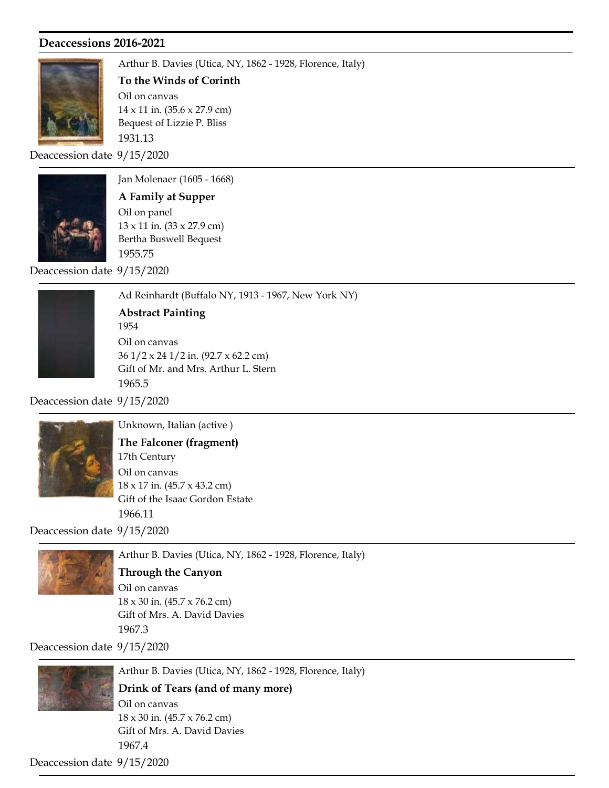

Arthur B. Davies (Utica, NY, 1862 - 1928, Florence, Italy) Bequest of Lizzie P. Bliss 1931.13 To the Winds of Corinth 14 x 11 in. (35.6 x 27.9 cm) Oil on canvas

Deaccession date 9/15/2020



Jan Molenaer (1605 - 1668) Bertha Buswell Bequest 1955.75 A Family at Supper 13 x 11 in. (33 x 27.9 cm) Oil on panel

Deaccession date 9/15/2020



Ad Reinhardt (Buffalo NY, 1913 - 1967, New York NY) Gift of Mr. and Mrs. Arthur L. Stern 1965.5 1954 Abstract Painting 36 1/2 x 24 1/2 in. (92.7 x 62.2 cm) Oil on canvas

Deaccession date 9/15/2020



Unknown, Italian (active )

Gift of the Isaac Gordon Estate 1966.11 17th Century The Falconer (fragment) 18 x 17 in. (45.7 x 43.2 cm) Oil on canvas

Deaccession date 9/15/2020



Arthur B. Davies (Utica, NY, 1862 - 1928, Florence, Italy)

#### Through the Canyon

Gift of Mrs. A. David Davies 1967.3 18 x 30 in. (45.7 x 76.2 cm) Oil on canvas

Deaccession date 9/15/2020



Arthur B. Davies (Utica, NY, 1862 - 1928, Florence, Italy)

Drink of Tears (and of many more)

Gift of Mrs. A. David Davies 1967.4 18 x 30 in. (45.7 x 76.2 cm) Oil on canvas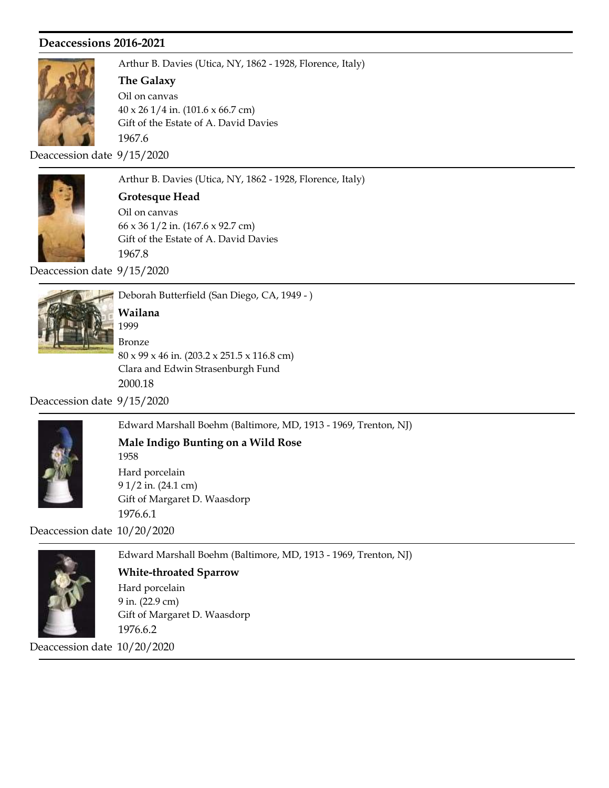

Arthur B. Davies (Utica, NY, 1862 - 1928, Florence, Italy)

#### The Galaxy

Gift of the Estate of A. David Davies 1967.6 40 x 26 1/4 in. (101.6 x 66.7 cm) Oil on canvas

Deaccession date 9/15/2020



Arthur B. Davies (Utica, NY, 1862 - 1928, Florence, Italy)

Grotesque Head Oil on canvas

Gift of the Estate of A. David Davies 1967.8 66 x 36 1/2 in. (167.6 x 92.7 cm)

Deaccession date 9/15/2020



Deborah Butterfield (San Diego, CA, 1949 - ) Clara and Edwin Strasenburgh Fund 2000.18 1999 Wailana 80 x 99 x 46 in. (203.2 x 251.5 x 116.8 cm) Bronze

Deaccession date 9/15/2020



Edward Marshall Boehm (Baltimore, MD, 1913 - 1969, Trenton, NJ)

# Male Indigo Bunting on a Wild Rose

Gift of Margaret D. Waasdorp 1976.6.1 1958 9 1/2 in. (24.1 cm) Hard porcelain

Deaccession date 10/20/2020



Edward Marshall Boehm (Baltimore, MD, 1913 - 1969, Trenton, NJ)

# Gift of Margaret D. Waasdorp 1976.6.2 White-throated Sparrow 9 in. (22.9 cm) Hard porcelain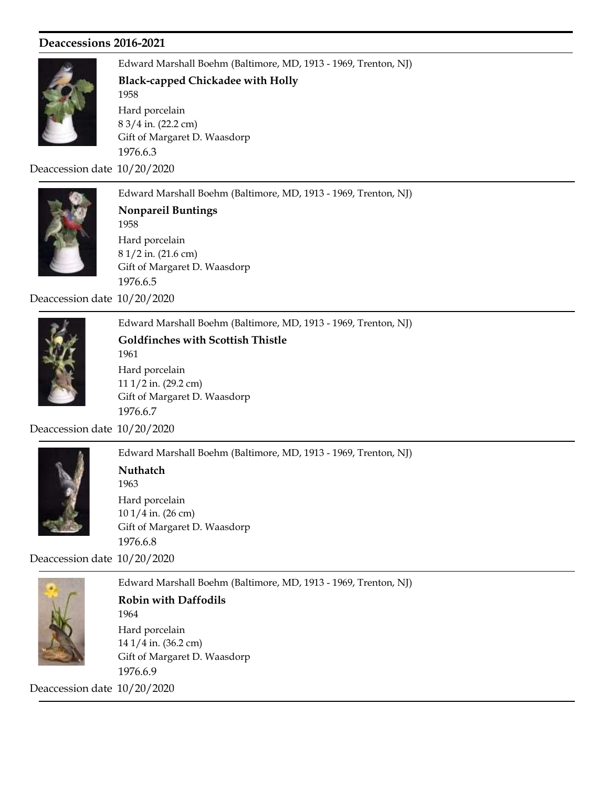

Edward Marshall Boehm (Baltimore, MD, 1913 - 1969, Trenton, NJ) Gift of Margaret D. Waasdorp 1976.6.3 1958 Black-capped Chickadee with Holly 8 3/4 in. (22.2 cm) Hard porcelain

Deaccession date 10/20/2020



Edward Marshall Boehm (Baltimore, MD, 1913 - 1969, Trenton, NJ) Gift of Margaret D. Waasdorp 1976.6.5 1958 Nonpareil Buntings 8 1/2 in. (21.6 cm) Hard porcelain

Deaccession date 10/20/2020



Edward Marshall Boehm (Baltimore, MD, 1913 - 1969, Trenton, NJ) Gift of Margaret D. Waasdorp 1976.6.7 1961 Goldfinches with Scottish Thistle 11 1/2 in. (29.2 cm) Hard porcelain

Deaccession date 10/20/2020



Edward Marshall Boehm (Baltimore, MD, 1913 - 1969, Trenton, NJ) Gift of Margaret D. Waasdorp 1976.6.8 1963 **Nuthatch** 10 1/4 in. (26 cm) Hard porcelain

Deaccession date 10/20/2020



Edward Marshall Boehm (Baltimore, MD, 1913 - 1969, Trenton, NJ) Gift of Margaret D. Waasdorp 1964 Robin with Daffodils 14 1/4 in. (36.2 cm) Hard porcelain

1976.6.9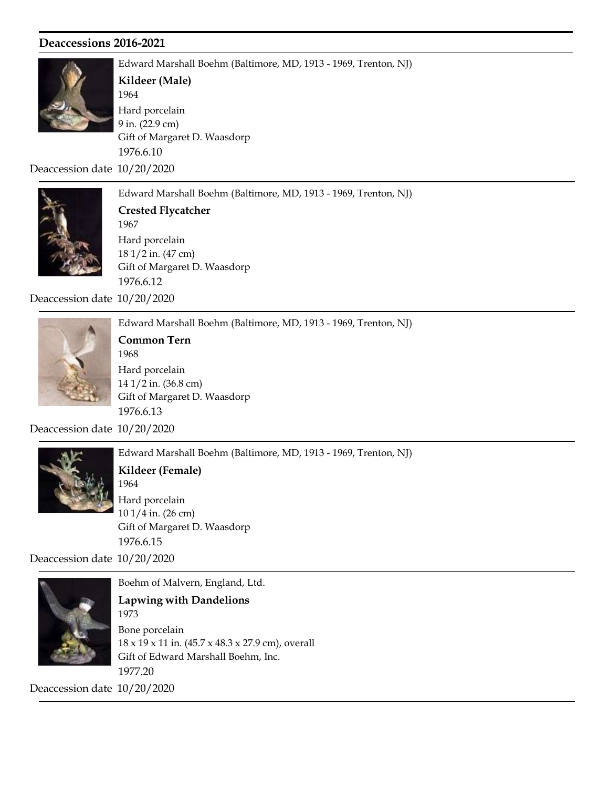

Edward Marshall Boehm (Baltimore, MD, 1913 - 1969, Trenton, NJ) Gift of Margaret D. Waasdorp 1976.6.10 1964 Kildeer (Male) 9 in. (22.9 cm) Hard porcelain

Deaccession date 10/20/2020



Edward Marshall Boehm (Baltimore, MD, 1913 - 1969, Trenton, NJ) Gift of Margaret D. Waasdorp 1976.6.12 1967 Crested Flycatcher 18 1/2 in. (47 cm) Hard porcelain

Deaccession date 10/20/2020



Edward Marshall Boehm (Baltimore, MD, 1913 - 1969, Trenton, NJ) Gift of Margaret D. Waasdorp 1976.6.13 1968 Common Tern 14 1/2 in. (36.8 cm) Hard porcelain

Deaccession date 10/20/2020



Edward Marshall Boehm (Baltimore, MD, 1913 - 1969, Trenton, NJ)

Gift of Margaret D. Waasdorp 1976.6.15 1964 Kildeer (Female) 10 1/4 in. (26 cm) Hard porcelain

Deaccession date 10/20/2020



Boehm of Malvern, England, Ltd. Lapwing with Dandelions

Gift of Edward Marshall Boehm, Inc. 1977.20 1973 18 x 19 x 11 in. (45.7 x 48.3 x 27.9 cm), overall Bone porcelain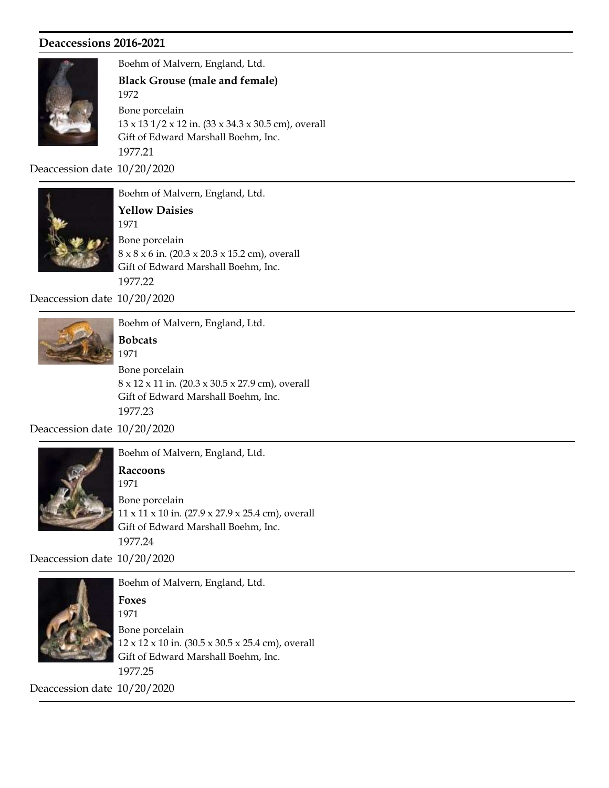

Boehm of Malvern, England, Ltd.

Gift of Edward Marshall Boehm, Inc. 1972 Black Grouse (male and female) 13 x 13 1/2 x 12 in. (33 x 34.3 x 30.5 cm), overall Bone porcelain

1977.21

Deaccession date 10/20/2020



Boehm of Malvern, England, Ltd. Gift of Edward Marshall Boehm, Inc. 1977.22 1971 Yellow Daisies 8 x 8 x 6 in. (20.3 x 20.3 x 15.2 cm), overall Bone porcelain

Deaccession date 10/20/2020



Boehm of Malvern, England, Ltd.

1971 Bobcats

Gift of Edward Marshall Boehm, Inc. 1977.23 8 x 12 x 11 in. (20.3 x 30.5 x 27.9 cm), overall Bone porcelain

Deaccession date 10/20/2020



Boehm of Malvern, England, Ltd.

Gift of Edward Marshall Boehm, Inc. 1977.24 1971 Raccoons 11 x 11 x 10 in. (27.9 x 27.9 x 25.4 cm), overall Bone porcelain

Deaccession date 10/20/2020



Boehm of Malvern, England, Ltd. 1971 Foxes 12 x 12 x 10 in. (30.5 x 30.5 x 25.4 cm), overall Bone porcelain

Gift of Edward Marshall Boehm, Inc.

1977.25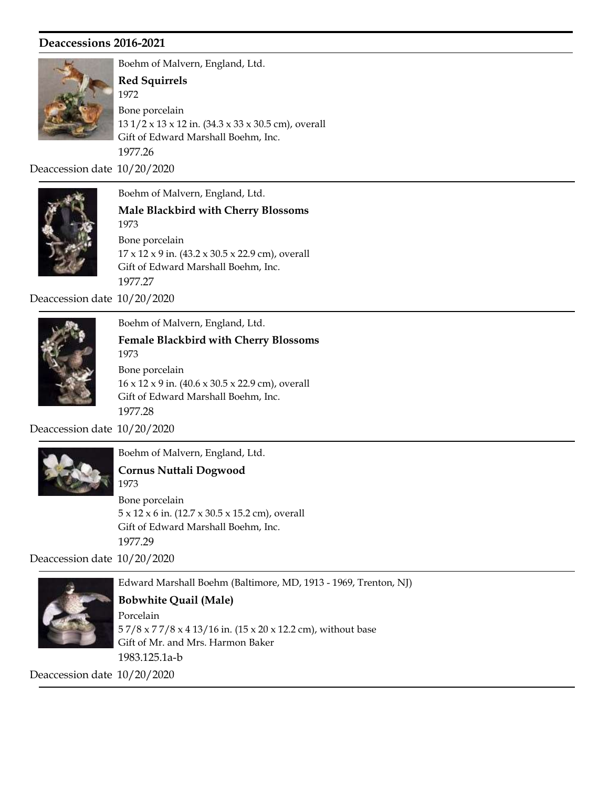

Boehm of Malvern, England, Ltd. Gift of Edward Marshall Boehm, Inc. 1977.26 1972 Red Squirrels 13 1/2 x 13 x 12 in. (34.3 x 33 x 30.5 cm), overall Bone porcelain

Deaccession date 10/20/2020



Boehm of Malvern, England, Ltd. Gift of Edward Marshall Boehm, Inc. 1973 Male Blackbird with Cherry Blossoms 17 x 12 x 9 in. (43.2 x 30.5 x 22.9 cm), overall Bone porcelain

1977.27

Deaccession date 10/20/2020



Boehm of Malvern, England, Ltd. Gift of Edward Marshall Boehm, Inc. 1973 Female Blackbird with Cherry Blossoms 16 x 12 x 9 in. (40.6 x 30.5 x 22.9 cm), overall Bone porcelain

1977.28 Deaccession date 10/20/2020

1973



Boehm of Malvern, England, Ltd.

Cornus Nuttali Dogwood

Gift of Edward Marshall Boehm, Inc. 1977.29 5 x 12 x 6 in. (12.7 x 30.5 x 15.2 cm), overall Bone porcelain

Deaccession date 10/20/2020



Edward Marshall Boehm (Baltimore, MD, 1913 - 1969, Trenton, NJ)

Gift of Mr. and Mrs. Harmon Baker 1983.125.1a-b Bobwhite Quail (Male) 5 7/8 x 7 7/8 x 4 13/16 in. (15 x 20 x 12.2 cm), without base Porcelain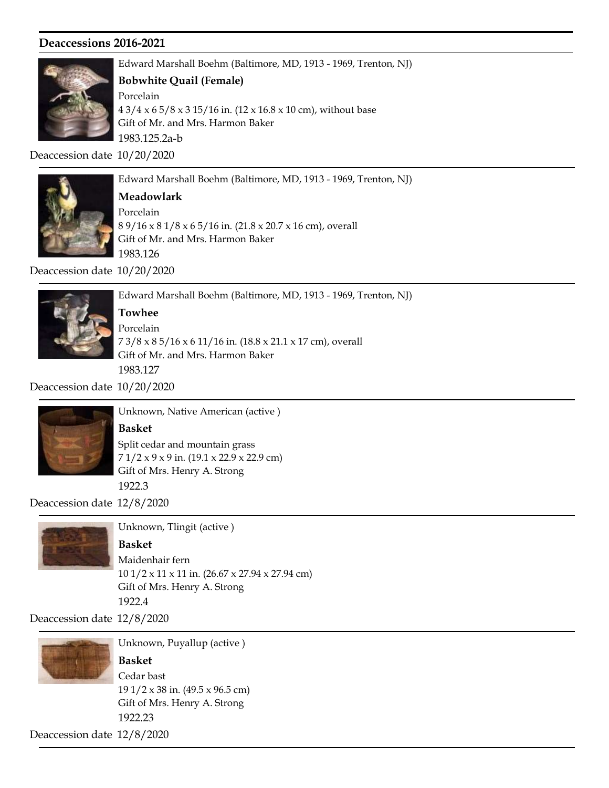

Edward Marshall Boehm (Baltimore, MD, 1913 - 1969, Trenton, NJ)

#### Bobwhite Quail (Female)

Gift of Mr. and Mrs. Harmon Baker 1983.125.2a-b 4 3/4 x 6 5/8 x 3 15/16 in. (12 x 16.8 x 10 cm), without base Porcelain

Deaccession date 10/20/2020



Edward Marshall Boehm (Baltimore, MD, 1913 - 1969, Trenton, NJ)

# Meadowlark

Gift of Mr. and Mrs. Harmon Baker 1983.126 8 9/16 x 8 1/8 x 6 5/16 in. (21.8 x 20.7 x 16 cm), overall Porcelain

Deaccession date 10/20/2020



Edward Marshall Boehm (Baltimore, MD, 1913 - 1969, Trenton, NJ)

Towhee

Gift of Mr. and Mrs. Harmon Baker 1983.127 7 3/8 x 8 5/16 x 6 11/16 in. (18.8 x 21.1 x 17 cm), overall Porcelain

Deaccession date 10/20/2020



Unknown, Native American (active ) Basket

Gift of Mrs. Henry A. Strong 1922.3 7 1/2 x 9 x 9 in. (19.1 x 22.9 x 22.9 cm) Split cedar and mountain grass

Deaccession date 12/8/2020



Unknown, Tlingit (active )

Basket Maidenhair fern

Gift of Mrs. Henry A. Strong 1922.4 10 1/2 x 11 x 11 in. (26.67 x 27.94 x 27.94 cm)

Deaccession date 12/8/2020



Unknown, Puyallup (active )

Gift of Mrs. Henry A. Strong 1922.23 Basket 19 1/2 x 38 in. (49.5 x 96.5 cm) Cedar bast

Deaccession date 12/8/2020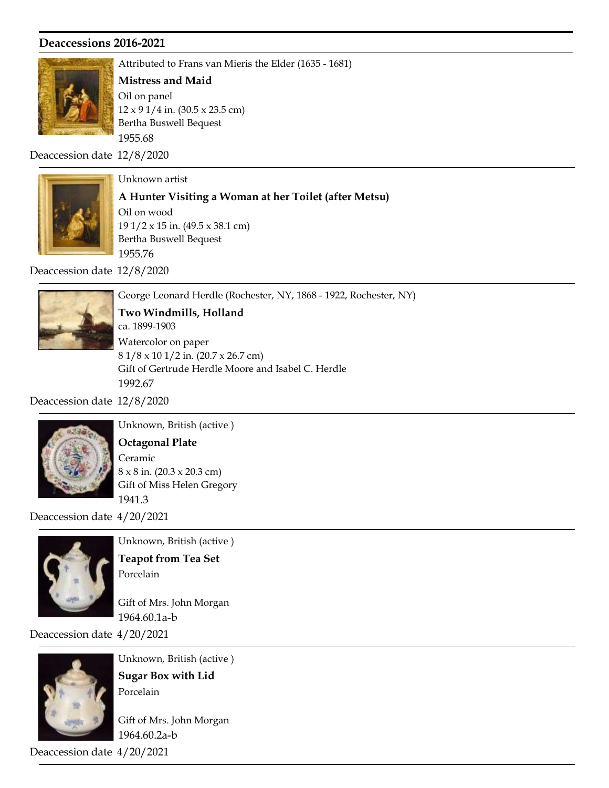

Attributed to Frans van Mieris the Elder (1635 - 1681)

#### Mistress and Maid

Bertha Buswell Bequest 1955.68 12 x 9 1/4 in. (30.5 x 23.5 cm) Oil on panel

Deaccession date 12/8/2020



Unknown artist

A Hunter Visiting a Woman at her Toilet (after Metsu)

Bertha Buswell Bequest 1955.76 19 1/2 x 15 in. (49.5 x 38.1 cm) Oil on wood

Deaccession date 12/8/2020



George Leonard Herdle (Rochester, NY, 1868 - 1922, Rochester, NY)

Two Windmills, Holland

Gift of Gertrude Herdle Moore and Isabel C. Herdle 1992.67 ca. 1899-1903 8 1/8 x 10 1/2 in. (20.7 x 26.7 cm) Watercolor on paper

Deaccession date 12/8/2020



Unknown, British (active )

#### Octagonal Plate

Gift of Miss Helen Gregory 1941.3 8 x 8 in. (20.3 x 20.3 cm) Ceramic

Deaccession date 4/20/2021



Unknown, British (active ) Teapot from Tea Set Porcelain

Gift of Mrs. John Morgan 1964.60.1a-b

Deaccession date 4/20/2021



Unknown, British (active ) Sugar Box with Lid

Porcelain

Gift of Mrs. John Morgan 1964.60.2a-b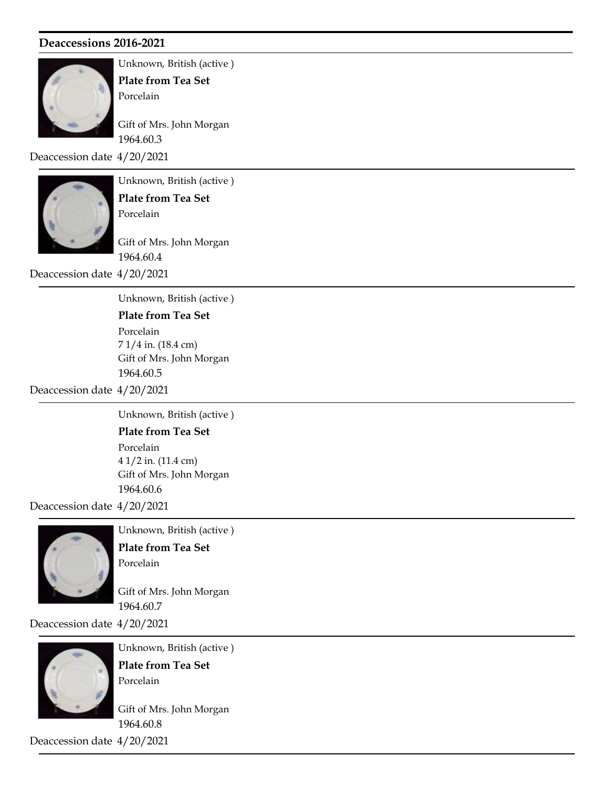

Unknown, British (active ) Plate from Tea Set

Porcelain

Gift of Mrs. John Morgan 1964.60.3

Deaccession date 4/20/2021



Unknown, British (active )

Plate from Tea Set Porcelain

Gift of Mrs. John Morgan 1964.60.4

Deaccession date 4/20/2021

Unknown, British (active )

## Plate from Tea Set

Gift of Mrs. John Morgan 1964.60.5 7 1/4 in. (18.4 cm) Porcelain

Deaccession date 4/20/2021

Unknown, British (active )

Plate from Tea Set

Gift of Mrs. John Morgan 1964.60.6 4 1/2 in. (11.4 cm) Porcelain

Deaccession date 4/20/2021



Unknown, British (active ) Plate from Tea Set Porcelain

Gift of Mrs. John Morgan 1964.60.7

Deaccession date 4/20/2021



Unknown, British (active ) Plate from Tea Set Porcelain

Gift of Mrs. John Morgan 1964.60.8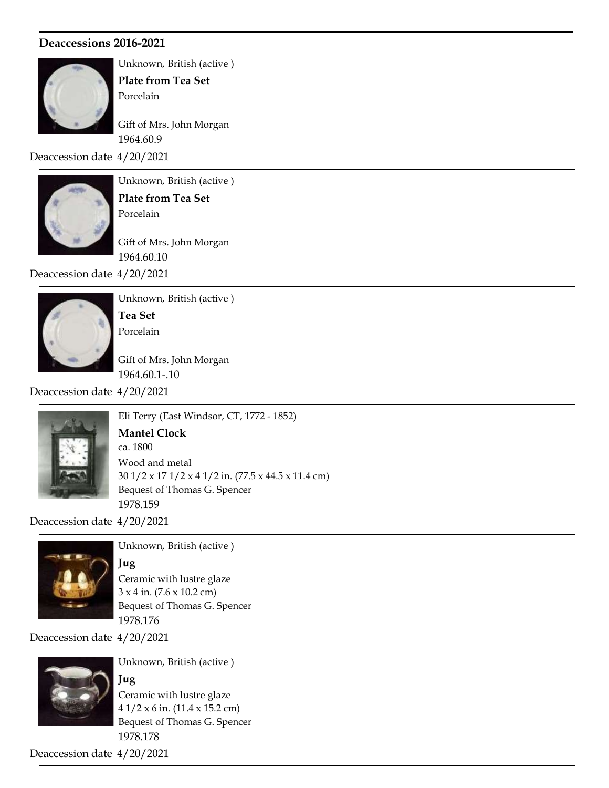

Unknown, British (active ) Plate from Tea Set

Porcelain

Gift of Mrs. John Morgan 1964.60.9

Deaccession date 4/20/2021



Unknown, British (active ) Plate from Tea Set

Porcelain

Gift of Mrs. John Morgan 1964.60.10

Deaccession date 4/20/2021



Unknown, British (active ) Tea Set Porcelain

Gift of Mrs. John Morgan 1964.60.1-.10

Deaccession date 4/20/2021



Eli Terry (East Windsor, CT, 1772 - 1852) Bequest of Thomas G. Spencer 1978.159 ca. 1800 Mantel Clock 30 1/2 x 17 1/2 x 4 1/2 in. (77.5 x 44.5 x 11.4 cm) Wood and metal

Deaccession date 4/20/2021



Unknown, British (active )

Jug

Bequest of Thomas G. Spencer 1978.176  $3 \times 4$  in. (7.6  $\times$  10.2 cm) Ceramic with lustre glaze

Deaccession date 4/20/2021



Unknown, British (active )

Bequest of Thomas G. Spencer 1978.178 Jug 4 1/2 x 6 in. (11.4 x 15.2 cm) Ceramic with lustre glaze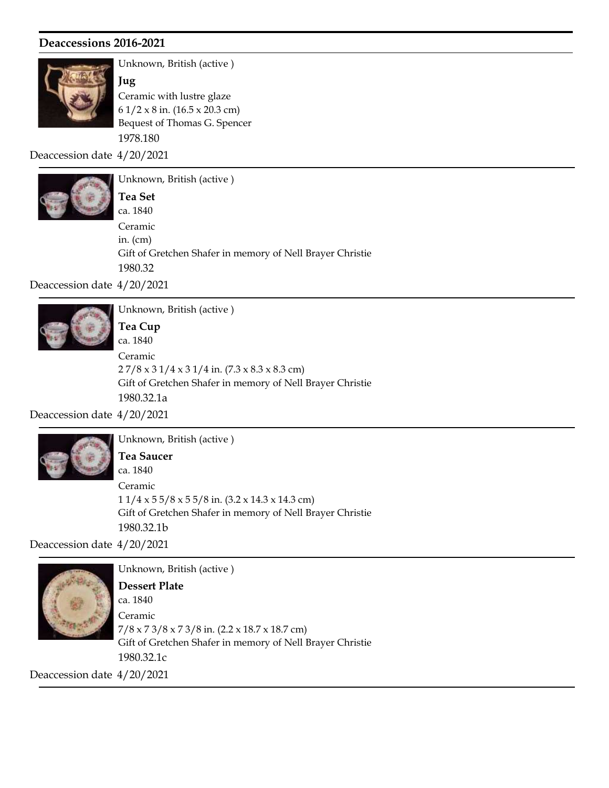

Unknown, British (active ) Jug Ceramic with lustre glaze

Bequest of Thomas G. Spencer 1978.180 6 1/2 x 8 in. (16.5 x 20.3 cm)

Deaccession date 4/20/2021



Unknown, British (active ) Gift of Gretchen Shafer in memory of Nell Brayer Christie 1980.32 ca. 1840 Tea Set in. (cm) Ceramic

Deaccession date 4/20/2021



Unknown, British (active )

Gift of Gretchen Shafer in memory of Nell Brayer Christie 1980.32.1a ca. 1840 Tea Cup 2 7/8 x 3 1/4 x 3 1/4 in. (7.3 x 8.3 x 8.3 cm) Ceramic

Deaccession date 4/20/2021



Unknown, British (active )

Gift of Gretchen Shafer in memory of Nell Brayer Christie 1980.32.1b ca. 1840 Tea Saucer 1 1/4 x 5 5/8 x 5 5/8 in. (3.2 x 14.3 x 14.3 cm) Ceramic

Deaccession date 4/20/2021



Unknown, British (active )

Gift of Gretchen Shafer in memory of Nell Brayer Christie 1980.32.1c ca. 1840 Dessert Plate 7/8 x 7 3/8 x 7 3/8 in. (2.2 x 18.7 x 18.7 cm) Ceramic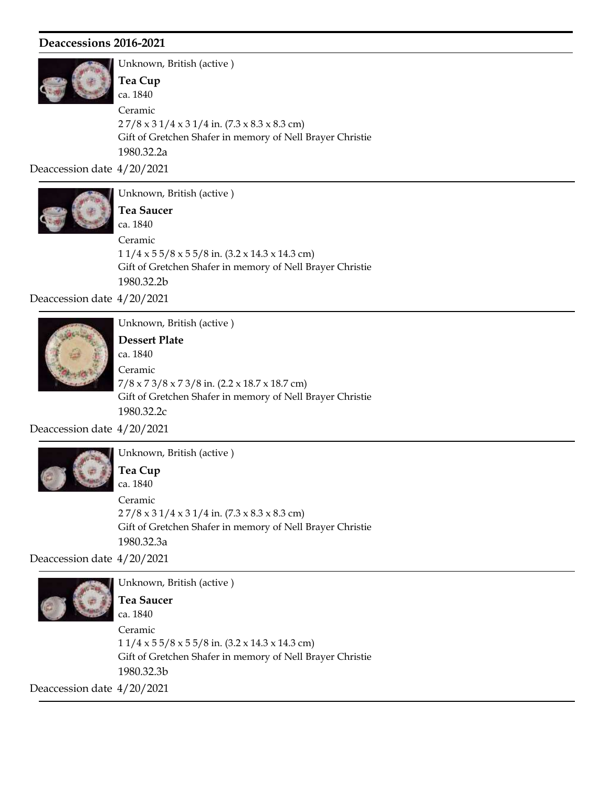

Unknown, British (active ) Gift of Gretchen Shafer in memory of Nell Brayer Christie 1980.32.2a ca. 1840 Tea Cup 2 7/8 x 3 1/4 x 3 1/4 in. (7.3 x 8.3 x 8.3 cm) Ceramic

Deaccession date 4/20/2021



Unknown, British (active ) Gift of Gretchen Shafer in memory of Nell Brayer Christie 1980.32.2b ca. 1840 Tea Saucer  $11/4 \times 55/8 \times 55/8$  in.  $(3.2 \times 14.3 \times 14.3$  cm) Ceramic

Deaccession date 4/20/2021



Unknown, British (active ) Dessert Plate

Gift of Gretchen Shafer in memory of Nell Brayer Christie 1980.32.2c ca. 1840 7/8 x 7 3/8 x 7 3/8 in. (2.2 x 18.7 x 18.7 cm) Ceramic

Deaccession date 4/20/2021



Unknown, British (active ) Tea Cup

Gift of Gretchen Shafer in memory of Nell Brayer Christie 1980.32.3a ca. 1840 2 7/8 x 3 1/4 x 3 1/4 in. (7.3 x 8.3 x 8.3 cm) Ceramic

Deaccession date 4/20/2021



Unknown, British (active ) ca. 1840 Tea Saucer

Gift of Gretchen Shafer in memory of Nell Brayer Christie 1980.32.3b 1 1/4 x 5 5/8 x 5 5/8 in. (3.2 x 14.3 x 14.3 cm) Ceramic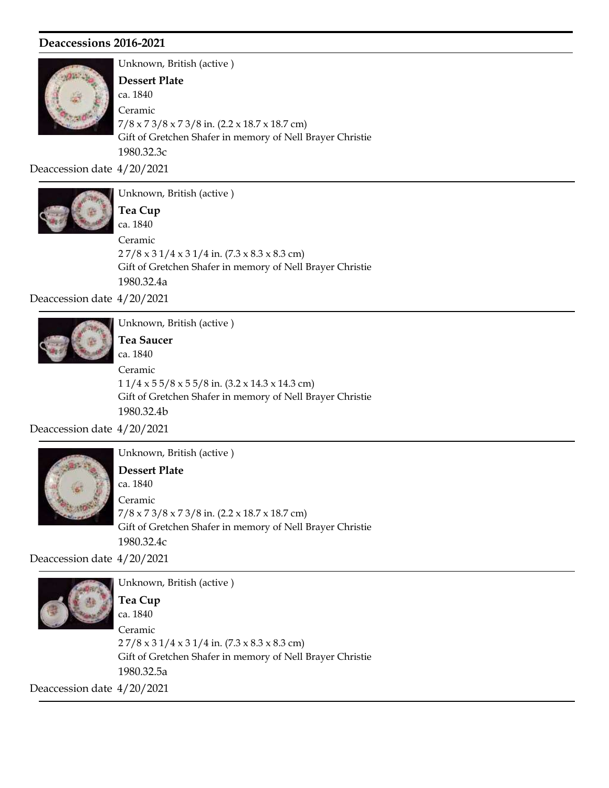

Unknown, British (active ) Gift of Gretchen Shafer in memory of Nell Brayer Christie 1980.32.3c ca. 1840 Dessert Plate 7/8 x 7 3/8 x 7 3/8 in. (2.2 x 18.7 x 18.7 cm) Ceramic

Deaccession date 4/20/2021



Unknown, British (active ) Gift of Gretchen Shafer in memory of Nell Brayer Christie 1980.32.4a ca. 1840 Tea Cup  $27/8 \times 31/4 \times 31/4$  in.  $(7.3 \times 8.3 \times 8.3$  cm) Ceramic

Deaccession date 4/20/2021



Unknown, British (active ) ca. 1840 Tea Saucer 1 1/4 x 5 5/8 x 5 5/8 in. (3.2 x 14.3 x 14.3 cm) Ceramic

Gift of Gretchen Shafer in memory of Nell Brayer Christie

1980.32.4b

Deaccession date 4/20/2021



Unknown, British (active )

Gift of Gretchen Shafer in memory of Nell Brayer Christie 1980.32.4c ca. 1840 Dessert Plate 7/8 x 7 3/8 x 7 3/8 in. (2.2 x 18.7 x 18.7 cm) Ceramic

Deaccession date 4/20/2021



Unknown, British (active ) Gift of Gretchen Shafer in memory of Nell Brayer Christie 1980.32.5a ca. 1840 Tea Cup 2 7/8 x 3 1/4 x 3 1/4 in. (7.3 x 8.3 x 8.3 cm) Ceramic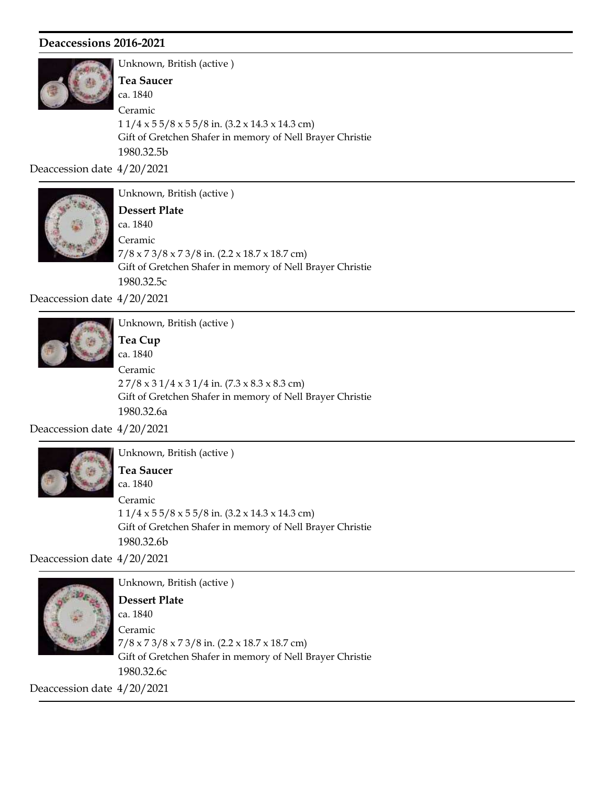

Unknown, British (active ) Gift of Gretchen Shafer in memory of Nell Brayer Christie 1980.32.5b ca. 1840 Tea Saucer 1 1/4 x 5 5/8 x 5 5/8 in. (3.2 x 14.3 x 14.3 cm) Ceramic

Deaccession date 4/20/2021



Unknown, British (active )

Gift of Gretchen Shafer in memory of Nell Brayer Christie 1980.32.5c ca. 1840 Dessert Plate 7/8 x 7 3/8 x 7 3/8 in. (2.2 x 18.7 x 18.7 cm) Ceramic

Deaccession date 4/20/2021



Unknown, British (active ) Tea Cup

Gift of Gretchen Shafer in memory of Nell Brayer Christie 1980.32.6a ca. 1840  $27/8 \times 31/4 \times 31/4$  in.  $(7.3 \times 8.3 \times 8.3$  cm) Ceramic

Deaccession date 4/20/2021



Unknown, British (active )

Gift of Gretchen Shafer in memory of Nell Brayer Christie 1980.32.6b ca. 1840 Tea Saucer  $11/4 \times 55/8 \times 55/8$  in.  $(3.2 \times 14.3 \times 14.3$  cm) Ceramic

Deaccession date 4/20/2021



Unknown, British (active ) Gift of Gretchen Shafer in memory of Nell Brayer Christie 1980.32.6c ca. 1840 Dessert Plate 7/8 x 7 3/8 x 7 3/8 in. (2.2 x 18.7 x 18.7 cm) Ceramic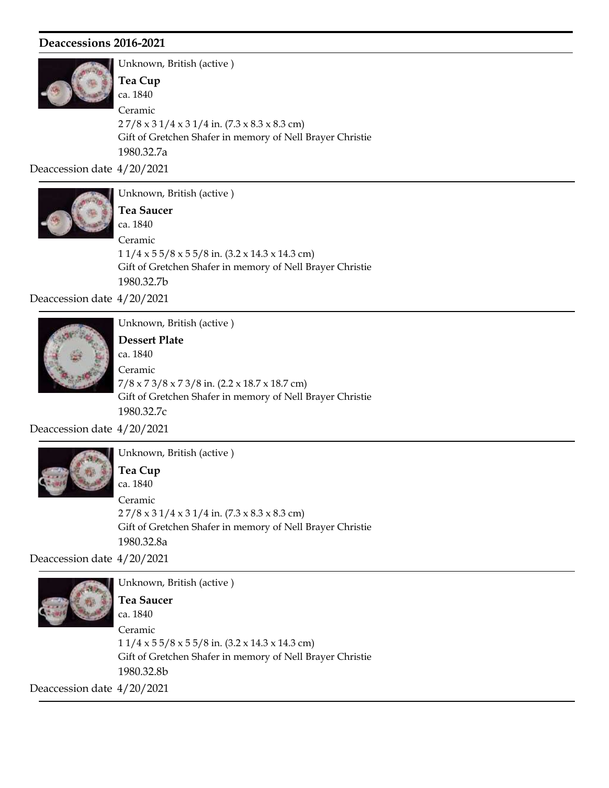

Unknown, British (active ) Gift of Gretchen Shafer in memory of Nell Brayer Christie 1980.32.7a ca. 1840 Tea Cup 2 7/8 x 3 1/4 x 3 1/4 in. (7.3 x 8.3 x 8.3 cm) Ceramic

Deaccession date 4/20/2021



Unknown, British (active ) Gift of Gretchen Shafer in memory of Nell Brayer Christie 1980.32.7b ca. 1840 Tea Saucer  $11/4 \times 55/8 \times 55/8$  in.  $(3.2 \times 14.3 \times 14.3$  cm) Ceramic

Deaccession date 4/20/2021



Unknown, British (active )

Gift of Gretchen Shafer in memory of Nell Brayer Christie 1980.32.7c ca. 1840 Dessert Plate 7/8 x 7 3/8 x 7 3/8 in. (2.2 x 18.7 x 18.7 cm) Ceramic

Deaccession date 4/20/2021



Unknown, British (active )

Gift of Gretchen Shafer in memory of Nell Brayer Christie 1980.32.8a ca. 1840 Tea Cup 2 7/8 x 3 1/4 x 3 1/4 in. (7.3 x 8.3 x 8.3 cm) Ceramic

Deaccession date 4/20/2021



Unknown, British (active ) Gift of Gretchen Shafer in memory of Nell Brayer Christie 1980.32.8b ca. 1840 Tea Saucer 1 1/4 x 5 5/8 x 5 5/8 in. (3.2 x 14.3 x 14.3 cm) Ceramic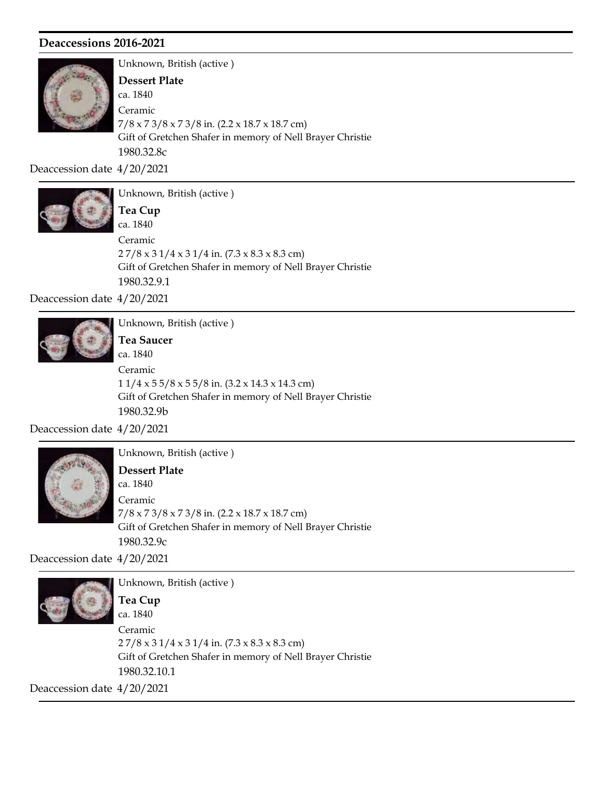

Unknown, British (active ) Gift of Gretchen Shafer in memory of Nell Brayer Christie 1980.32.8c ca. 1840 Dessert Plate 7/8 x 7 3/8 x 7 3/8 in. (2.2 x 18.7 x 18.7 cm) Ceramic

Deaccession date 4/20/2021



Unknown, British (active ) Gift of Gretchen Shafer in memory of Nell Brayer Christie ca. 1840 Tea Cup  $27/8 \times 31/4 \times 31/4$  in.  $(7.3 \times 8.3 \times 8.3$  cm) Ceramic

1980.32.9.1

Deaccession date 4/20/2021



Unknown, British (active ) Tea Saucer

Gift of Gretchen Shafer in memory of Nell Brayer Christie 1980.32.9b ca. 1840 1 1/4 x 5 5/8 x 5 5/8 in. (3.2 x 14.3 x 14.3 cm) Ceramic

Deaccession date 4/20/2021



Unknown, British (active )

Gift of Gretchen Shafer in memory of Nell Brayer Christie 1980.32.9c ca. 1840 Dessert Plate 7/8 x 7 3/8 x 7 3/8 in. (2.2 x 18.7 x 18.7 cm) Ceramic

Deaccession date 4/20/2021



Unknown, British (active ) ca. 1840 Tea Cup

Gift of Gretchen Shafer in memory of Nell Brayer Christie 1980.32.10.1 2 7/8 x 3 1/4 x 3 1/4 in. (7.3 x 8.3 x 8.3 cm) Ceramic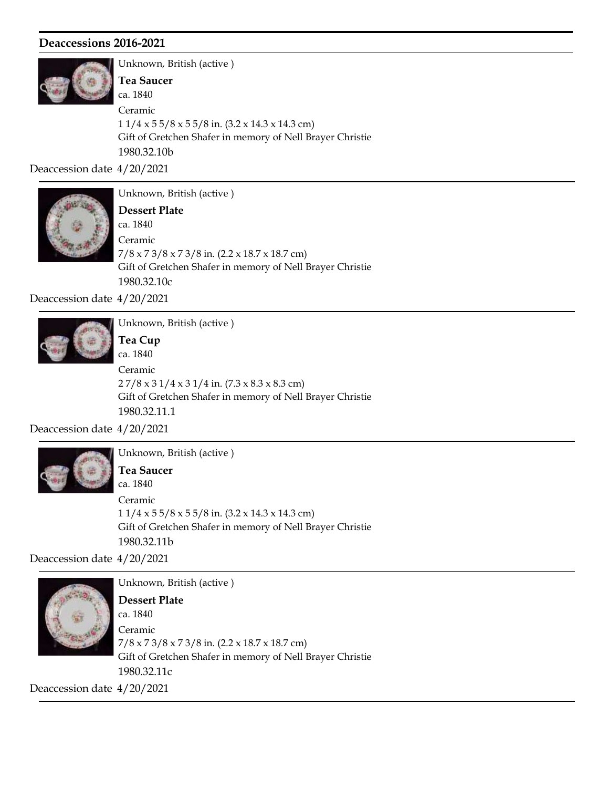

Unknown, British (active ) Gift of Gretchen Shafer in memory of Nell Brayer Christie 1980.32.10b ca. 1840 Tea Saucer 1 1/4 x 5 5/8 x 5 5/8 in. (3.2 x 14.3 x 14.3 cm) Ceramic

Deaccession date 4/20/2021



Unknown, British (active )

Gift of Gretchen Shafer in memory of Nell Brayer Christie 1980.32.10c ca. 1840 Dessert Plate 7/8 x 7 3/8 x 7 3/8 in. (2.2 x 18.7 x 18.7 cm) Ceramic

Deaccession date 4/20/2021



Unknown, British (active ) Tea Cup

Gift of Gretchen Shafer in memory of Nell Brayer Christie 1980.32.11.1 ca. 1840 2 7/8 x 3 1/4 x 3 1/4 in. (7.3 x 8.3 x 8.3 cm) Ceramic

Deaccession date 4/20/2021



Unknown, British (active )

Gift of Gretchen Shafer in memory of Nell Brayer Christie 1980.32.11b ca. 1840 Tea Saucer  $11/4 \times 55/8 \times 55/8$  in.  $(3.2 \times 14.3 \times 14.3$  cm) Ceramic

Deaccession date 4/20/2021



Unknown, British (active ) Gift of Gretchen Shafer in memory of Nell Brayer Christie 1980.32.11c ca. 1840 Dessert Plate 7/8 x 7 3/8 x 7 3/8 in. (2.2 x 18.7 x 18.7 cm) Ceramic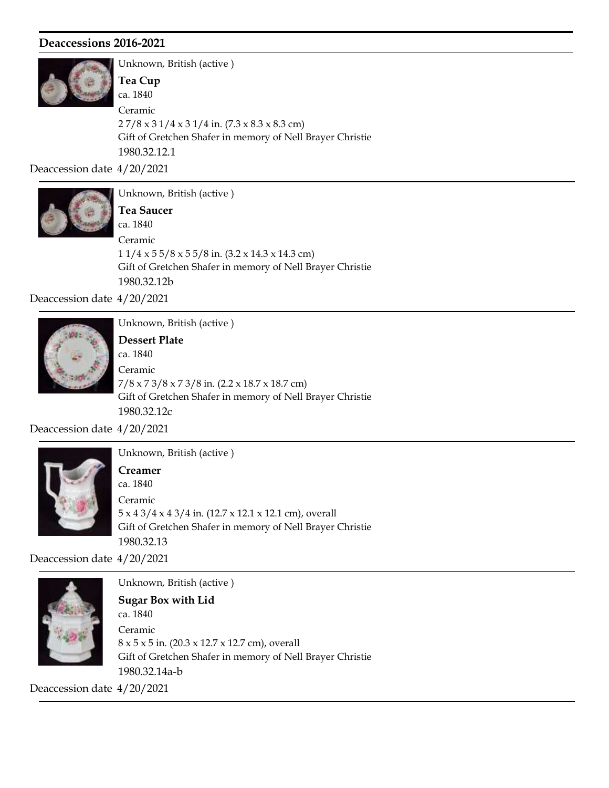

Unknown, British (active ) Gift of Gretchen Shafer in memory of Nell Brayer Christie 1980.32.12.1 ca. 1840 Tea Cup 2 7/8 x 3 1/4 x 3 1/4 in. (7.3 x 8.3 x 8.3 cm) Ceramic

Deaccession date 4/20/2021



Unknown, British (active ) Gift of Gretchen Shafer in memory of Nell Brayer Christie 1980.32.12b ca. 1840 Tea Saucer  $11/4 \times 55/8 \times 55/8$  in.  $(3.2 \times 14.3 \times 14.3$  cm) Ceramic

Deaccession date 4/20/2021



Unknown, British (active ) Dessert Plate

Gift of Gretchen Shafer in memory of Nell Brayer Christie 1980.32.12c ca. 1840 7/8 x 7 3/8 x 7 3/8 in. (2.2 x 18.7 x 18.7 cm) Ceramic

Deaccession date 4/20/2021



Unknown, British (active )

Gift of Gretchen Shafer in memory of Nell Brayer Christie 1980.32.13 ca. 1840 Creamer 5 x 4 3/4 x 4 3/4 in. (12.7 x 12.1 x 12.1 cm), overall Ceramic

Deaccession date 4/20/2021



Unknown, British (active ) Gift of Gretchen Shafer in memory of Nell Brayer Christie 1980.32.14a-b ca. 1840 Sugar Box with Lid 8 x 5 x 5 in. (20.3 x 12.7 x 12.7 cm), overall Ceramic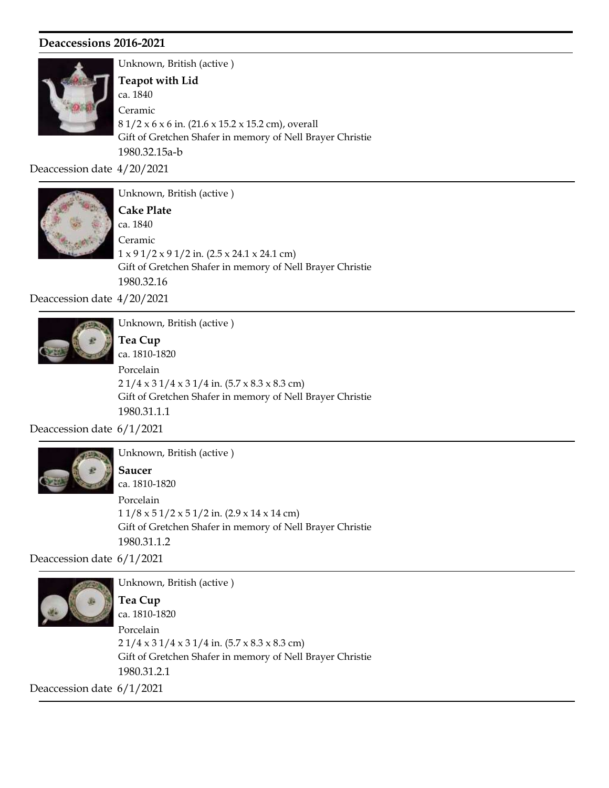

Unknown, British (active ) Gift of Gretchen Shafer in memory of Nell Brayer Christie 1980.32.15a-b ca. 1840 Teapot with Lid 8 1/2 x 6 x 6 in. (21.6 x 15.2 x 15.2 cm), overall Ceramic

Deaccession date 4/20/2021



Unknown, British (active ) Gift of Gretchen Shafer in memory of Nell Brayer Christie 1980.32.16 ca. 1840 Cake Plate  $1 \times 9 \frac{1}{2} \times 9 \frac{1}{2}$  in. (2.5 x 24.1 x 24.1 cm) Ceramic

Deaccession date 4/20/2021



Unknown, British (active ) Tea Cup

Gift of Gretchen Shafer in memory of Nell Brayer Christie 1980.31.1.1 ca. 1810-1820 2 1/4 x 3 1/4 x 3 1/4 in. (5.7 x 8.3 x 8.3 cm) Porcelain

Deaccession date 6/1/2021



Unknown, British (active ) Saucer

Gift of Gretchen Shafer in memory of Nell Brayer Christie 1980.31.1.2 ca. 1810-1820  $11/8 \times 51/2 \times 51/2$  in. (2.9 x 14 x 14 cm) Porcelain

Deaccession date 6/1/2021



Unknown, British (active ) Gift of Gretchen Shafer in memory of Nell Brayer Christie 1980.31.2.1 ca. 1810-1820 Tea Cup 2 1/4 x 3 1/4 x 3 1/4 in. (5.7 x 8.3 x 8.3 cm) Porcelain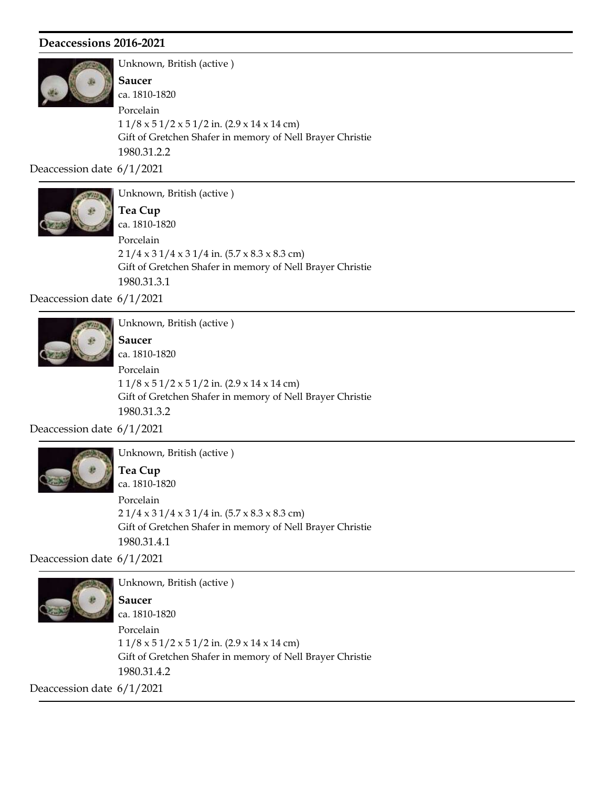

Unknown, British (active ) Gift of Gretchen Shafer in memory of Nell Brayer Christie 1980.31.2.2 ca. 1810-1820 Saucer 1 1/8 x 5 1/2 x 5 1/2 in. (2.9 x 14 x 14 cm) Porcelain

Deaccession date 6/1/2021



Unknown, British (active ) Gift of Gretchen Shafer in memory of Nell Brayer Christie ca. 1810-1820 Tea Cup  $21/4 \times 31/4 \times 31/4$  in.  $(5.7 \times 8.3 \times 8.3$  cm) Porcelain

1980.31.3.1

Deaccession date 6/1/2021



Unknown, British (active ) Saucer

Gift of Gretchen Shafer in memory of Nell Brayer Christie 1980.31.3.2 ca. 1810-1820 1 1/8 x 5 1/2 x 5 1/2 in. (2.9 x 14 x 14 cm) Porcelain

Deaccession date 6/1/2021



Unknown, British (active ) Tea Cup

Gift of Gretchen Shafer in memory of Nell Brayer Christie 1980.31.4.1 ca. 1810-1820 2 1/4 x 3 1/4 x 3 1/4 in. (5.7 x 8.3 x 8.3 cm) Porcelain

Deaccession date 6/1/2021



Unknown, British (active ) Gift of Gretchen Shafer in memory of Nell Brayer Christie 1980.31.4.2 ca. 1810-1820 Saucer 1 1/8 x 5 1/2 x 5 1/2 in. (2.9 x 14 x 14 cm) Porcelain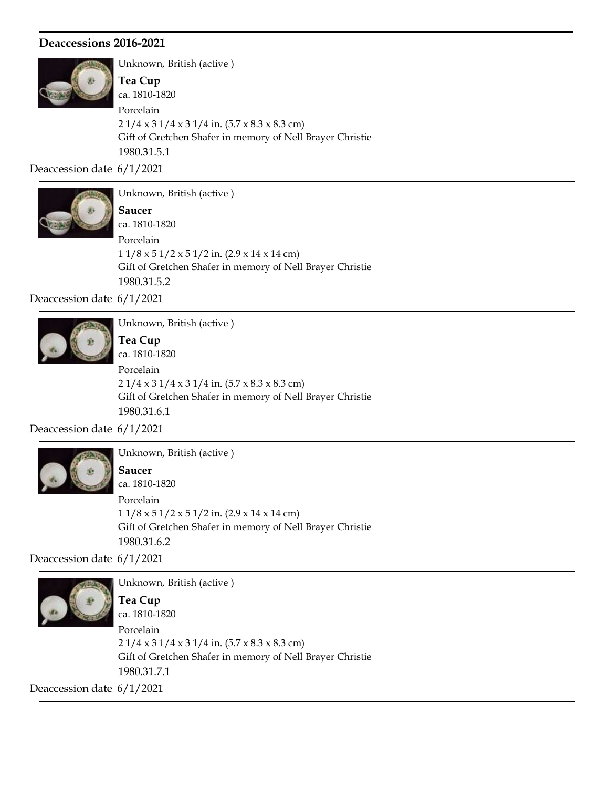

Unknown, British (active ) Gift of Gretchen Shafer in memory of Nell Brayer Christie 1980.31.5.1 ca. 1810-1820 Tea Cup 2 1/4 x 3 1/4 x 3 1/4 in. (5.7 x 8.3 x 8.3 cm) Porcelain

Deaccession date 6/1/2021



Unknown, British (active ) Saucer

Gift of Gretchen Shafer in memory of Nell Brayer Christie 1980.31.5.2 ca. 1810-1820  $11/8 \times 51/2 \times 51/2$  in. (2.9 x 14 x 14 cm) Porcelain

Deaccession date 6/1/2021



Unknown, British (active ) Tea Cup

Gift of Gretchen Shafer in memory of Nell Brayer Christie 1980.31.6.1 ca. 1810-1820 2 1/4 x 3 1/4 x 3 1/4 in. (5.7 x 8.3 x 8.3 cm) Porcelain

Deaccession date 6/1/2021



Unknown, British (active ) Saucer

Gift of Gretchen Shafer in memory of Nell Brayer Christie 1980.31.6.2 ca. 1810-1820  $11/8 \times 51/2 \times 51/2$  in. (2.9 x 14 x 14 cm) Porcelain

Deaccession date 6/1/2021



Unknown, British (active ) Gift of Gretchen Shafer in memory of Nell Brayer Christie 1980.31.7.1 ca. 1810-1820 Tea Cup 2 1/4 x 3 1/4 x 3 1/4 in. (5.7 x 8.3 x 8.3 cm) Porcelain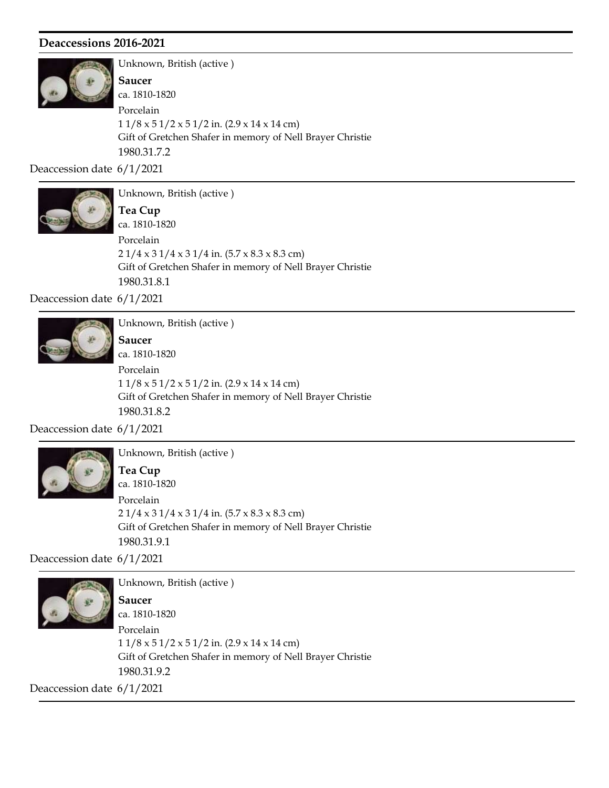

Unknown, British (active ) Gift of Gretchen Shafer in memory of Nell Brayer Christie 1980.31.7.2 ca. 1810-1820 Saucer 1 1/8 x 5 1/2 x 5 1/2 in. (2.9 x 14 x 14 cm) Porcelain

Deaccession date 6/1/2021



Unknown, British (active ) Tea Cup

Gift of Gretchen Shafer in memory of Nell Brayer Christie 1980.31.8.1 ca. 1810-1820  $21/4 \times 31/4 \times 31/4$  in.  $(5.7 \times 8.3 \times 8.3$  cm) Porcelain

Deaccession date 6/1/2021



Unknown, British (active ) Saucer

Gift of Gretchen Shafer in memory of Nell Brayer Christie 1980.31.8.2 ca. 1810-1820 1 1/8 x 5 1/2 x 5 1/2 in. (2.9 x 14 x 14 cm) Porcelain

Deaccession date 6/1/2021



Unknown, British (active ) ca. 1810-1820 Tea Cup 2 1/4 x 3 1/4 x 3 1/4 in. (5.7 x 8.3 x 8.3 cm) Porcelain

1980.31.9.1

Deaccession date 6/1/2021



Unknown, British (active ) Gift of Gretchen Shafer in memory of Nell Brayer Christie 1980.31.9.2 ca. 1810-1820 Saucer 1 1/8 x 5 1/2 x 5 1/2 in. (2.9 x 14 x 14 cm) Porcelain

Gift of Gretchen Shafer in memory of Nell Brayer Christie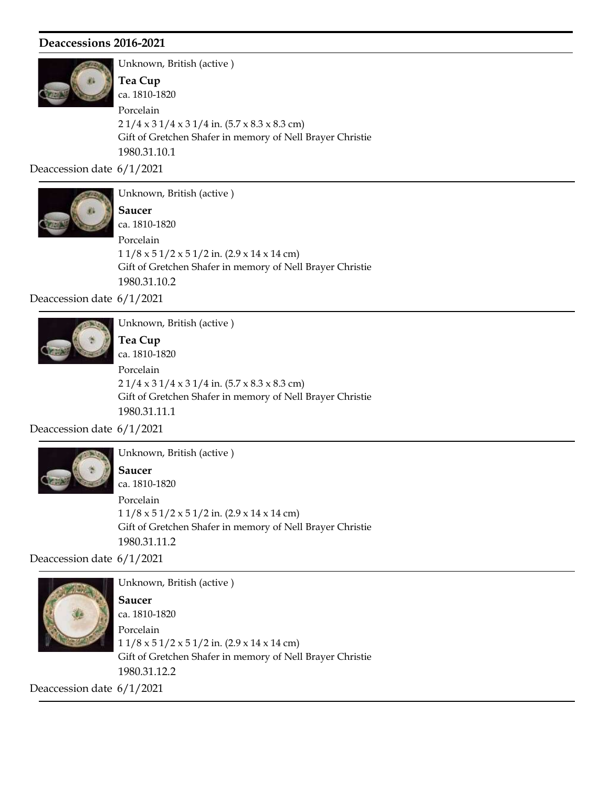

Unknown, British (active ) Gift of Gretchen Shafer in memory of Nell Brayer Christie 1980.31.10.1 ca. 1810-1820 Tea Cup 2 1/4 x 3 1/4 x 3 1/4 in. (5.7 x 8.3 x 8.3 cm) Porcelain

Deaccession date 6/1/2021



Unknown, British (active )

Gift of Gretchen Shafer in memory of Nell Brayer Christie 1980.31.10.2 ca. 1810-1820 Saucer  $11/8 \times 51/2 \times 51/2$  in. (2.9 x 14 x 14 cm) Porcelain

Deaccession date 6/1/2021



Unknown, British (active ) Tea Cup

Gift of Gretchen Shafer in memory of Nell Brayer Christie 1980.31.11.1 ca. 1810-1820  $21/4 \times 31/4 \times 31/4$  in.  $(5.7 \times 8.3 \times 8.3$  cm) Porcelain

Deaccession date 6/1/2021



Unknown, British (active ) Saucer

Gift of Gretchen Shafer in memory of Nell Brayer Christie 1980.31.11.2 ca. 1810-1820  $11/8 \times 51/2 \times 51/2$  in. (2.9 x 14 x 14 cm) Porcelain

Deaccession date 6/1/2021



Unknown, British (active ) Gift of Gretchen Shafer in memory of Nell Brayer Christie 1980.31.12.2 ca. 1810-1820 Saucer 1 1/8 x 5 1/2 x 5 1/2 in. (2.9 x 14 x 14 cm) Porcelain